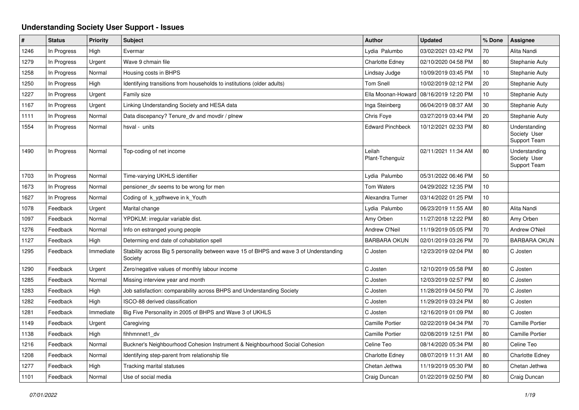## **Understanding Society User Support - Issues**

| #    | <b>Status</b> | Priority  | <b>Subject</b>                                                                                    | <b>Author</b>             | <b>Updated</b>                           | % Done | Assignee                                      |
|------|---------------|-----------|---------------------------------------------------------------------------------------------------|---------------------------|------------------------------------------|--------|-----------------------------------------------|
| 1246 | In Progress   | High      | Evermar                                                                                           | Lydia Palumbo             | 03/02/2021 03:42 PM                      | 70     | Alita Nandi                                   |
| 1279 | In Progress   | Urgent    | Wave 9 chmain file                                                                                | <b>Charlotte Edney</b>    | 02/10/2020 04:58 PM                      | 80     | Stephanie Auty                                |
| 1258 | In Progress   | Normal    | Housing costs in BHPS                                                                             | Lindsay Judge             | 10/09/2019 03:45 PM                      | 10     | Stephanie Auty                                |
| 1250 | In Progress   | High      | Identifying transitions from households to institutions (older adults)                            | <b>Tom Snell</b>          | 10/02/2019 02:12 PM                      | 20     | Stephanie Auty                                |
| 1227 | In Progress   | Urgent    | Family size                                                                                       |                           | Ella Moonan-Howard   08/16/2019 12:20 PM | 10     | Stephanie Auty                                |
| 1167 | In Progress   | Urgent    | Linking Understanding Society and HESA data                                                       | Inga Steinberg            | 06/04/2019 08:37 AM                      | 30     | Stephanie Auty                                |
| 1111 | In Progress   | Normal    | Data discepancy? Tenure dv and movdir / plnew                                                     | Chris Foye                | 03/27/2019 03:44 PM                      | 20     | Stephanie Auty                                |
| 1554 | In Progress   | Normal    | hsval - units                                                                                     | <b>Edward Pinchbeck</b>   | 10/12/2021 02:33 PM                      | 80     | Understanding<br>Society User<br>Support Team |
| 1490 | In Progress   | Normal    | Top-coding of net income                                                                          | Leilah<br>Plant-Tchenguiz | 02/11/2021 11:34 AM                      | 80     | Understanding<br>Society User<br>Support Team |
| 1703 | In Progress   | Normal    | Time-varying UKHLS identifier                                                                     | Lydia Palumbo             | 05/31/2022 06:46 PM                      | 50     |                                               |
| 1673 | In Progress   | Normal    | pensioner dv seems to be wrong for men                                                            | <b>Tom Waters</b>         | 04/29/2022 12:35 PM                      | 10     |                                               |
| 1627 | In Progress   | Normal    | Coding of k_ypfhweve in k_Youth                                                                   | Alexandra Turner          | 03/14/2022 01:25 PM                      | 10     |                                               |
| 1078 | Feedback      | Urgent    | Marital change                                                                                    | Lydia Palumbo             | 06/23/2019 11:55 AM                      | 80     | Alita Nandi                                   |
| 1097 | Feedback      | Normal    | YPDKLM: irregular variable dist.                                                                  | Amy Orben                 | 11/27/2018 12:22 PM                      | 80     | Amy Orben                                     |
| 1276 | Feedback      | Normal    | Info on estranged young people                                                                    | Andrew O'Neil             | 11/19/2019 05:05 PM                      | 70     | Andrew O'Neil                                 |
| 1127 | Feedback      | High      | Determing end date of cohabitation spell                                                          | <b>BARBARA OKUN</b>       | 02/01/2019 03:26 PM                      | 70     | <b>BARBARA OKUN</b>                           |
| 1295 | Feedback      | Immediate | Stability across Big 5 personality between wave 15 of BHPS and wave 3 of Understanding<br>Society | C Josten                  | 12/23/2019 02:04 PM                      | 80     | C Josten                                      |
| 1290 | Feedback      | Urgent    | Zero/negative values of monthly labour income                                                     | C Josten                  | 12/10/2019 05:58 PM                      | 80     | C Josten                                      |
| 1285 | Feedback      | Normal    | Missing interview year and month                                                                  | C Josten                  | 12/03/2019 02:57 PM                      | 80     | C Josten                                      |
| 1283 | Feedback      | High      | Job satisfaction: comparability across BHPS and Understanding Society                             | C Josten                  | 11/28/2019 04:50 PM                      | 70     | C Josten                                      |
| 1282 | Feedback      | High      | ISCO-88 derived classification                                                                    | C Josten                  | 11/29/2019 03:24 PM                      | 80     | C Josten                                      |
| 1281 | Feedback      | Immediate | Big Five Personality in 2005 of BHPS and Wave 3 of UKHLS                                          | C Josten                  | 12/16/2019 01:09 PM                      | 80     | C Josten                                      |
| 1149 | Feedback      | Urgent    | Caregiving                                                                                        | <b>Camille Portier</b>    | 02/22/2019 04:34 PM                      | 70     | <b>Camille Portier</b>                        |
| 1138 | Feedback      | High      | fihhmnnet1 dv                                                                                     | <b>Camille Portier</b>    | 02/08/2019 12:51 PM                      | 80     | <b>Camille Portier</b>                        |
| 1216 | Feedback      | Normal    | Buckner's Neighbourhood Cohesion Instrument & Neighbourhood Social Cohesion                       | Celine Teo                | 08/14/2020 05:34 PM                      | 80     | Celine Teo                                    |
| 1208 | Feedback      | Normal    | Identifying step-parent from relationship file                                                    | <b>Charlotte Edney</b>    | 08/07/2019 11:31 AM                      | 80     | <b>Charlotte Edney</b>                        |
| 1277 | Feedback      | High      | Tracking marital statuses                                                                         | Chetan Jethwa             | 11/19/2019 05:30 PM                      | 80     | Chetan Jethwa                                 |
| 1101 | Feedback      | Normal    | Use of social media                                                                               | Craig Duncan              | 01/22/2019 02:50 PM                      | 80     | Craig Duncan                                  |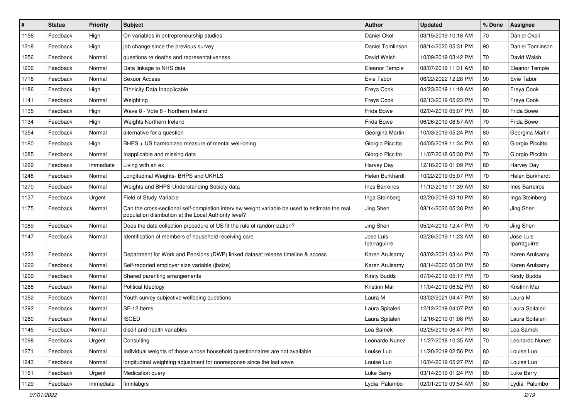| $\pmb{\#}$ | <b>Status</b> | <b>Priority</b> | Subject                                                                                                                                                 | <b>Author</b>             | <b>Updated</b>      | % Done | <b>Assignee</b>           |
|------------|---------------|-----------------|---------------------------------------------------------------------------------------------------------------------------------------------------------|---------------------------|---------------------|--------|---------------------------|
| 1158       | Feedback      | High            | On variables in entrepreneurship studies                                                                                                                | Daniel Okoli              | 03/15/2019 10:18 AM | 70     | Daniel Okoli              |
| 1218       | Feedback      | High            | job change since the previous survey                                                                                                                    | Daniel Tomlinson          | 08/14/2020 05:31 PM | 90     | Daniel Tomlinson          |
| 1256       | Feedback      | Normal          | questions re deaths and representativeness                                                                                                              | David Walsh               | 10/09/2019 03:42 PM | 70     | David Walsh               |
| 1206       | Feedback      | Normal          | Data linkage to NHS data                                                                                                                                | Eleanor Temple            | 08/07/2019 11:31 AM | 80     | Eleanor Temple            |
| 1718       | Feedback      | Normal          | Sexuor Access                                                                                                                                           | Evie Tabor                | 06/22/2022 12:28 PM | 90     | Evie Tabor                |
| 1186       | Feedback      | High            | <b>Ethnicity Data Inapplicable</b>                                                                                                                      | Freya Cook                | 04/23/2019 11:19 AM | 90     | Freya Cook                |
| 1141       | Feedback      | Normal          | Weighting                                                                                                                                               | Freya Cook                | 02/13/2019 05:23 PM | 70     | Freya Cook                |
| 1135       | Feedback      | High            | Wave 8 - Vote 8 - Northern Ireland                                                                                                                      | Frida Bowe                | 02/04/2019 05:07 PM | 80     | Frida Bowe                |
| 1134       | Feedback      | High            | Weights Northern Ireland                                                                                                                                | Frida Bowe                | 06/26/2019 08:57 AM | 70     | Frida Bowe                |
| 1254       | Feedback      | Normal          | alternative for a question                                                                                                                              | Georgina Martin           | 10/03/2019 05:24 PM | 80     | Georgina Martin           |
| 1180       | Feedback      | High            | BHPS + US harmonized measure of mental well-being                                                                                                       | Giorgio Piccitto          | 04/05/2019 11:34 PM | 80     | Giorgio Piccitto          |
| 1085       | Feedback      | Normal          | Inapplicable and missing data                                                                                                                           | Giorgio Piccitto          | 11/07/2018 05:30 PM | 70     | Giorgio Piccitto          |
| 1269       | Feedback      | Immediate       | Living with an ex                                                                                                                                       | Harvey Day                | 12/16/2019 01:09 PM | 80     | Harvey Day                |
| 1248       | Feedback      | Normal          | Longitudinal Weights- BHPS and UKHLS                                                                                                                    | Helen Burkhardt           | 10/22/2019 05:07 PM | 70     | Helen Burkhardt           |
| 1270       | Feedback      | Normal          | Weights and BHPS-Understanding Society data                                                                                                             | Ines Barreiros            | 11/12/2019 11:39 AM | 80     | Ines Barreiros            |
| 1137       | Feedback      | Urgent          | Field of Study Variable                                                                                                                                 | Inga Steinberg            | 02/20/2019 03:10 PM | 80     | Inga Steinberg            |
| 1175       | Feedback      | Normal          | Can the cross-sectional self-completion interview weight variable be used to estimate the real<br>population distribution at the Local Authority level? | Jing Shen                 | 08/14/2020 05:38 PM | 90     | Jing Shen                 |
| 1089       | Feedback      | Normal          | Does the data collection procedure of US fit the rule of randomization?                                                                                 | Jing Shen                 | 05/24/2019 12:47 PM | 70     | Jing Shen                 |
| 1147       | Feedback      | Normal          | Identification of members of household receiving care                                                                                                   | Jose Luis<br>Iparraguirre | 02/26/2019 11:23 AM | 60     | Jose Luis<br>Iparraguirre |
| 1223       | Feedback      | Normal          | Department for Work and Pensions (DWP) linked dataset release timeline & access                                                                         | Karen Arulsamy            | 03/02/2021 03:44 PM | 70     | Karen Arulsamy            |
| 1222       | Feedback      | Normal          | Self-reported employer size variable (jbsize)                                                                                                           | Karen Arulsamy            | 08/14/2020 05:30 PM | 50     | Karen Arulsamy            |
| 1209       | Feedback      | Normal          | Shared parenting arrangements                                                                                                                           | <b>Kirsty Budds</b>       | 07/04/2019 05:17 PM | 70     | <b>Kirsty Budds</b>       |
| 1268       | Feedback      | Normal          | Political Ideology                                                                                                                                      | Kristinn Mar              | 11/04/2019 06:52 PM | 60     | Kristinn Mar              |
| 1252       | Feedback      | Normal          | Youth survey subjective wellbeing questions                                                                                                             | Laura M                   | 03/02/2021 04:47 PM | 80     | Laura M                   |
| 1292       | Feedback      | Normal          | SF-12 Items                                                                                                                                             | Laura Spitaleri           | 12/12/2019 04:07 PM | 80     | Laura Spitaleri           |
| 1280       | Feedback      | Normal          | <b>ISCED</b>                                                                                                                                            | Laura Spitaleri           | 12/16/2019 01:08 PM | 80     | Laura Spitaleri           |
| 1145       | Feedback      | Normal          | disdif and health variables                                                                                                                             | Lea Samek                 | 02/25/2019 06:47 PM | 60     | Lea Samek                 |
| 1098       | Feedback      | Urgent          | Consulting                                                                                                                                              | Leonardo Nunez            | 11/27/2018 10:35 AM | 70     | Leonardo Nunez            |
| 1271       | Feedback      | Normal          | Individual weights of those whose household questionnaires are not available                                                                            | Louise Luo                | 11/20/2019 02:56 PM | 80     | Louise Luo                |
| 1243       | Feedback      | Normal          | longitudinal weighting adjustment for nonresponse since the last wave                                                                                   | Louise Luo                | 10/04/2019 05:27 PM | 60     | Louise Luo                |
| 1161       | Feedback      | Urgent          | Medication query                                                                                                                                        | Luke Barry                | 03/14/2019 01:24 PM | 80     | Luke Barry                |
| 1129       | Feedback      | Immediate       | fimnlabgrs                                                                                                                                              | Lydia Palumbo             | 02/01/2019 09:54 AM | 80     | Lydia Palumbo             |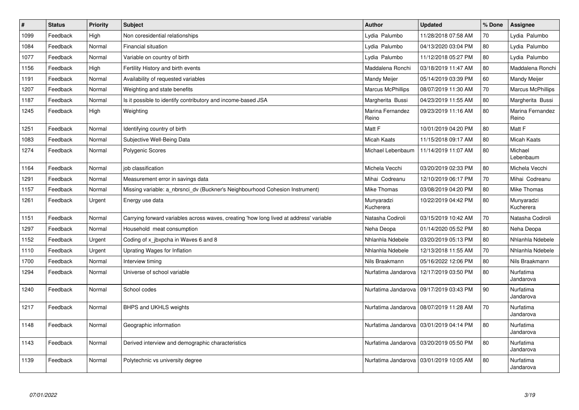| $\sharp$ | <b>Status</b> | <b>Priority</b> | <b>Subject</b>                                                                         | <b>Author</b>             | <b>Updated</b>                            | % Done | Assignee                  |
|----------|---------------|-----------------|----------------------------------------------------------------------------------------|---------------------------|-------------------------------------------|--------|---------------------------|
| 1099     | Feedback      | High            | Non coresidential relationships                                                        | Lydia Palumbo             | 11/28/2018 07:58 AM                       | 70     | Lydia Palumbo             |
| 1084     | Feedback      | Normal          | Financial situation                                                                    | Lydia Palumbo             | 04/13/2020 03:04 PM                       | 80     | Lydia Palumbo             |
| 1077     | Feedback      | Normal          | Variable on country of birth                                                           | Lydia Palumbo             | 11/12/2018 05:27 PM                       | 80     | Lydia Palumbo             |
| 1156     | Feedback      | High            | Fertility History and birth events                                                     | Maddalena Ronchi          | 03/18/2019 11:47 AM                       | 80     | Maddalena Ronchi          |
| 1191     | Feedback      | Normal          | Availability of requested variables                                                    | Mandy Meijer              | 05/14/2019 03:39 PM                       | 60     | Mandy Meijer              |
| 1207     | Feedback      | Normal          | Weighting and state benefits                                                           | <b>Marcus McPhillips</b>  | 08/07/2019 11:30 AM                       | 70     | <b>Marcus McPhillips</b>  |
| 1187     | Feedback      | Normal          | Is it possible to identify contributory and income-based JSA                           | Margherita Bussi          | 04/23/2019 11:55 AM                       | 80     | Margherita Bussi          |
| 1245     | Feedback      | High            | Weighting                                                                              | Marina Fernandez<br>Reino | 09/23/2019 11:16 AM                       | 80     | Marina Fernandez<br>Reino |
| 1251     | Feedback      | Normal          | Identifying country of birth                                                           | Matt F                    | 10/01/2019 04:20 PM                       | 80     | Matt F                    |
| 1083     | Feedback      | Normal          | Subjective Well-Being Data                                                             | <b>Micah Kaats</b>        | 11/15/2018 09:17 AM                       | 80     | Micah Kaats               |
| 1274     | Feedback      | Normal          | Polygenic Scores                                                                       | Michael Lebenbaum         | 11/14/2019 11:07 AM                       | 80     | Michael<br>Lebenbaum      |
| 1164     | Feedback      | Normal          | job classification                                                                     | Michela Vecchi            | 03/20/2019 02:33 PM                       | 80     | Michela Vecchi            |
| 1291     | Feedback      | Normal          | Measurement error in savings data                                                      | Mihai Codreanu            | 12/10/2019 06:17 PM                       | $70\,$ | Mihai Codreanu            |
| 1157     | Feedback      | Normal          | Missing variable: a_nbrsnci_dv (Buckner's Neighbourhood Cohesion Instrument)           | Mike Thomas               | 03/08/2019 04:20 PM                       | 80     | Mike Thomas               |
| 1261     | Feedback      | Urgent          | Energy use data                                                                        | Munyaradzi<br>Kucherera   | 10/22/2019 04:42 PM                       | 80     | Munyaradzi<br>Kucherera   |
| 1151     | Feedback      | Normal          | Carrying forward variables across waves, creating 'how long lived at address' variable | Natasha Codiroli          | 03/15/2019 10:42 AM                       | 70     | Natasha Codiroli          |
| 1297     | Feedback      | Normal          | Household meat consumption                                                             | Neha Deopa                | 01/14/2020 05:52 PM                       | 80     | Neha Deopa                |
| 1152     | Feedback      | Urgent          | Coding of x jbxpcha in Waves 6 and 8                                                   | Nhlanhla Ndebele          | 03/20/2019 05:13 PM                       | 80     | Nhlanhla Ndebele          |
| 1110     | Feedback      | Urgent          | Uprating Wages for Inflation                                                           | Nhlanhla Ndebele          | 12/13/2018 11:55 AM                       | 70     | Nhlanhla Ndebele          |
| 1700     | Feedback      | Normal          | Interview timing                                                                       | Nils Braakmann            | 05/16/2022 12:06 PM                       | 80     | Nils Braakmann            |
| 1294     | Feedback      | Normal          | Universe of school variable                                                            | Nurfatima Jandarova       | 12/17/2019 03:50 PM                       | 80     | Nurfatima<br>Jandarova    |
| 1240     | Feedback      | Normal          | School codes                                                                           | Nurfatima Jandarova       | 09/17/2019 03:43 PM                       | 90     | Nurfatima<br>Jandarova    |
| 1217     | Feedback      | Normal          | BHPS and UKHLS weights                                                                 |                           | Nurfatima Jandarova   08/07/2019 11:28 AM | 70     | Nurfatima<br>Jandarova    |
| 1148     | Feedback      | Normal          | Geographic information                                                                 |                           | Nurfatima Jandarova   03/01/2019 04:14 PM | 80     | Nurfatima<br>Jandarova    |
| 1143     | Feedback      | Normal          | Derived interview and demographic characteristics                                      | Nurfatima Jandarova       | 03/20/2019 05:50 PM                       | 80     | Nurfatima<br>Jandarova    |
| 1139     | Feedback      | Normal          | Polytechnic vs university degree                                                       | Nurfatima Jandarova       | 03/01/2019 10:05 AM                       | 80     | Nurfatima<br>Jandarova    |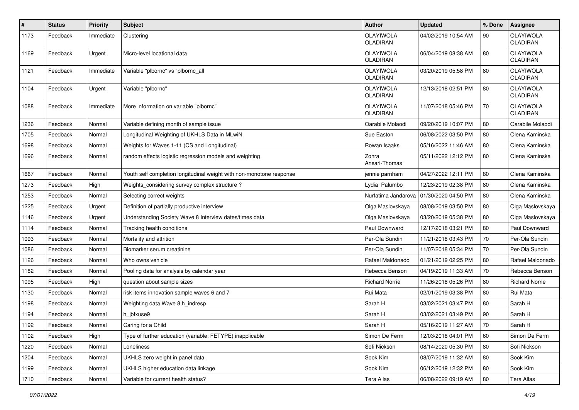| $\vert$ # | <b>Status</b> | <b>Priority</b> | Subject                                                              | <b>Author</b>                | <b>Updated</b>      | % Done | <b>Assignee</b>              |
|-----------|---------------|-----------------|----------------------------------------------------------------------|------------------------------|---------------------|--------|------------------------------|
| 1173      | Feedback      | Immediate       | Clustering                                                           | OLAYIWOLA<br><b>OLADIRAN</b> | 04/02/2019 10:54 AM | 90     | OLAYIWOLA<br><b>OLADIRAN</b> |
| 1169      | Feedback      | Urgent          | Micro-level locational data                                          | OLAYIWOLA<br>OLADIRAN        | 06/04/2019 08:38 AM | 80     | OLAYIWOLA<br>OLADIRAN        |
| 1121      | Feedback      | Immediate       | Variable "plbornc" vs "plbornc_all                                   | OLAYIWOLA<br>OLADIRAN        | 03/20/2019 05:58 PM | 80     | OLAYIWOLA<br>OLADIRAN        |
| 1104      | Feedback      | Urgent          | Variable "plbornc"                                                   | OLAYIWOLA<br>OLADIRAN        | 12/13/2018 02:51 PM | 80     | <b>OLAYIWOLA</b><br>OLADIRAN |
| 1088      | Feedback      | Immediate       | More information on variable "plbornc"                               | OLAYIWOLA<br>OLADIRAN        | 11/07/2018 05:46 PM | $70\,$ | OLAYIWOLA<br>OLADIRAN        |
| 1236      | Feedback      | Normal          | Variable defining month of sample issue                              | Oarabile Molaodi             | 09/20/2019 10:07 PM | 80     | Oarabile Molaodi             |
| 1705      | Feedback      | Normal          | Longitudinal Weighting of UKHLS Data in MLwiN                        | Sue Easton                   | 06/08/2022 03:50 PM | 80     | Olena Kaminska               |
| 1698      | Feedback      | Normal          | Weights for Waves 1-11 (CS and Longitudinal)                         | Rowan Isaaks                 | 05/16/2022 11:46 AM | 80     | Olena Kaminska               |
| 1696      | Feedback      | Normal          | random effects logistic regression models and weighting              | Zohra<br>Ansari-Thomas       | 05/11/2022 12:12 PM | 80     | Olena Kaminska               |
| 1667      | Feedback      | Normal          | Youth self completion longitudinal weight with non-monotone response | jennie parnham               | 04/27/2022 12:11 PM | 80     | Olena Kaminska               |
| 1273      | Feedback      | High            | Weights_considering survey complex structure?                        | Lydia Palumbo                | 12/23/2019 02:38 PM | 80     | Olena Kaminska               |
| 1253      | Feedback      | Normal          | Selecting correct weights                                            | Nurfatima Jandarova          | 01/30/2020 04:50 PM | 80     | Olena Kaminska               |
| 1225      | Feedback      | Urgent          | Definition of partially productive interview                         | Olga Maslovskaya             | 08/08/2019 03:50 PM | 80     | Olga Maslovskaya             |
| 1146      | Feedback      | Urgent          | Understanding Society Wave 8 Interview dates/times data              | Olga Maslovskaya             | 03/20/2019 05:38 PM | 80     | Olga Maslovskaya             |
| 1114      | Feedback      | Normal          | Tracking health conditions                                           | Paul Downward                | 12/17/2018 03:21 PM | 80     | Paul Downward                |
| 1093      | Feedback      | Normal          | Mortality and attrition                                              | Per-Ola Sundin               | 11/21/2018 03:43 PM | 70     | Per-Ola Sundin               |
| 1086      | Feedback      | Normal          | Biomarker serum creatinine                                           | Per-Ola Sundin               | 11/07/2018 05:34 PM | 70     | Per-Ola Sundin               |
| 1126      | Feedback      | Normal          | Who owns vehicle                                                     | Rafael Maldonado             | 01/21/2019 02:25 PM | 80     | Rafael Maldonado             |
| 1182      | Feedback      | Normal          | Pooling data for analysis by calendar year                           | Rebecca Benson               | 04/19/2019 11:33 AM | 70     | Rebecca Benson               |
| 1095      | Feedback      | High            | question about sample sizes                                          | <b>Richard Norrie</b>        | 11/26/2018 05:26 PM | 80     | <b>Richard Norrie</b>        |
| 1130      | Feedback      | Normal          | risk items innovation sample waves 6 and 7                           | Rui Mata                     | 02/01/2019 03:38 PM | 80     | Rui Mata                     |
| 1198      | Feedback      | Normal          | Weighting data Wave 8 h_indresp                                      | Sarah H                      | 03/02/2021 03:47 PM | 80     | Sarah H                      |
| 1194      | Feedback      | Normal          | h jbfxuse9                                                           | Sarah H                      | 03/02/2021 03:49 PM | 90     | Sarah H                      |
| 1192      | Feedback      | Normal          | Caring for a Child                                                   | Sarah H                      | 05/16/2019 11:27 AM | 70     | Sarah H                      |
| 1102      | Feedback      | High            | Type of further education (variable: FETYPE) inapplicable            | Simon De Ferm                | 12/03/2018 04:01 PM | 60     | Simon De Ferm                |
| 1220      | Feedback      | Normal          | Loneliness                                                           | Sofi Nickson                 | 08/14/2020 05:30 PM | 80     | Sofi Nickson                 |
| 1204      | Feedback      | Normal          | UKHLS zero weight in panel data                                      | Sook Kim                     | 08/07/2019 11:32 AM | 80     | Sook Kim                     |
| 1199      | Feedback      | Normal          | UKHLS higher education data linkage                                  | Sook Kim                     | 06/12/2019 12:32 PM | 80     | Sook Kim                     |
| 1710      | Feedback      | Normal          | Variable for current health status?                                  | <b>Tera Allas</b>            | 06/08/2022 09:19 AM | 80     | Tera Allas                   |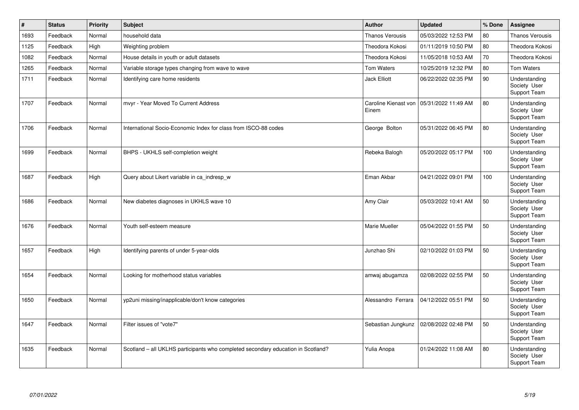| #    | <b>Status</b> | <b>Priority</b> | <b>Subject</b>                                                                   | Author                        | <b>Updated</b>      | % Done | <b>Assignee</b>                               |
|------|---------------|-----------------|----------------------------------------------------------------------------------|-------------------------------|---------------------|--------|-----------------------------------------------|
| 1693 | Feedback      | Normal          | household data                                                                   | <b>Thanos Verousis</b>        | 05/03/2022 12:53 PM | 80     | <b>Thanos Verousis</b>                        |
| 1125 | Feedback      | High            | Weighting problem                                                                | Theodora Kokosi               | 01/11/2019 10:50 PM | 80     | Theodora Kokosi                               |
| 1082 | Feedback      | Normal          | House details in youth or adult datasets                                         | Theodora Kokosi               | 11/05/2018 10:53 AM | 70     | Theodora Kokosi                               |
| 1265 | Feedback      | Normal          | Variable storage types changing from wave to wave                                | <b>Tom Waters</b>             | 10/25/2019 12:32 PM | 80     | <b>Tom Waters</b>                             |
| 1711 | Feedback      | Normal          | Identifying care home residents                                                  | <b>Jack Elliott</b>           | 06/22/2022 02:35 PM | 90     | Understanding<br>Society User<br>Support Team |
| 1707 | Feedback      | Normal          | mvyr - Year Moved To Current Address                                             | Caroline Kienast von<br>Einem | 05/31/2022 11:49 AM | 80     | Understanding<br>Society User<br>Support Team |
| 1706 | Feedback      | Normal          | International Socio-Economic Index for class from ISCO-88 codes                  | George Bolton                 | 05/31/2022 06:45 PM | 80     | Understanding<br>Society User<br>Support Team |
| 1699 | Feedback      | Normal          | BHPS - UKHLS self-completion weight                                              | Rebeka Balogh                 | 05/20/2022 05:17 PM | 100    | Understanding<br>Society User<br>Support Team |
| 1687 | Feedback      | High            | Query about Likert variable in ca_indresp_w                                      | Eman Akbar                    | 04/21/2022 09:01 PM | 100    | Understanding<br>Society User<br>Support Team |
| 1686 | Feedback      | Normal          | New diabetes diagnoses in UKHLS wave 10                                          | Amy Clair                     | 05/03/2022 10:41 AM | 50     | Understanding<br>Society User<br>Support Team |
| 1676 | Feedback      | Normal          | Youth self-esteem measure                                                        | Marie Mueller                 | 05/04/2022 01:55 PM | 50     | Understanding<br>Society User<br>Support Team |
| 1657 | Feedback      | High            | Identifying parents of under 5-year-olds                                         | Junzhao Shi                   | 02/10/2022 01:03 PM | 50     | Understanding<br>Society User<br>Support Team |
| 1654 | Feedback      | Normal          | Looking for motherhood status variables                                          | amwaj abugamza                | 02/08/2022 02:55 PM | 50     | Understanding<br>Society User<br>Support Team |
| 1650 | Feedback      | Normal          | yp2uni missing/inapplicable/don't know categories                                | Alessandro Ferrara            | 04/12/2022 05:51 PM | 50     | Understanding<br>Society User<br>Support Team |
| 1647 | Feedback      | Normal          | Filter issues of "vote7"                                                         | Sebastian Jungkunz            | 02/08/2022 02:48 PM | 50     | Understanding<br>Society User<br>Support Team |
| 1635 | Feedback      | Normal          | Scotland – all UKLHS participants who completed secondary education in Scotland? | Yulia Anopa                   | 01/24/2022 11:08 AM | 80     | Understanding<br>Society User<br>Support Team |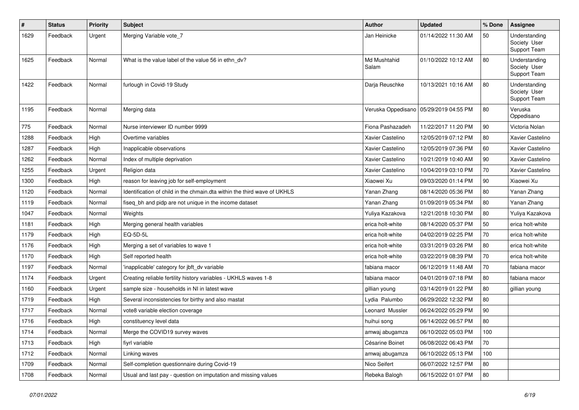| #    | <b>Status</b> | <b>Priority</b> | <b>Subject</b>                                                           | <b>Author</b>         | <b>Updated</b>                           | % Done | <b>Assignee</b>                               |
|------|---------------|-----------------|--------------------------------------------------------------------------|-----------------------|------------------------------------------|--------|-----------------------------------------------|
| 1629 | Feedback      | Urgent          | Merging Variable vote 7                                                  | Jan Heinicke          | 01/14/2022 11:30 AM                      | 50     | Understanding<br>Society User<br>Support Team |
| 1625 | Feedback      | Normal          | What is the value label of the value 56 in ethn dv?                      | Md Mushtahid<br>Salam | 01/10/2022 10:12 AM                      | 80     | Understanding<br>Society User<br>Support Team |
| 1422 | Feedback      | Normal          | furlough in Covid-19 Study                                               | Darja Reuschke        | 10/13/2021 10:16 AM                      | 80     | Understanding<br>Society User<br>Support Team |
| 1195 | Feedback      | Normal          | Merging data                                                             |                       | Veruska Oppedisano   05/29/2019 04:55 PM | 80     | Veruska<br>Oppedisano                         |
| 775  | Feedback      | Normal          | Nurse interviewer ID number 9999                                         | Fiona Pashazadeh      | 11/22/2017 11:20 PM                      | 90     | Victoria Nolan                                |
| 1288 | Feedback      | High            | Overtime variables                                                       | Xavier Castelino      | 12/05/2019 07:12 PM                      | 80     | Xavier Castelino                              |
| 1287 | Feedback      | High            | Inapplicable observations                                                | Xavier Castelino      | 12/05/2019 07:36 PM                      | 60     | Xavier Castelino                              |
| 1262 | Feedback      | Normal          | Index of multiple deprivation                                            | Xavier Castelino      | 10/21/2019 10:40 AM                      | 90     | Xavier Castelino                              |
| 1255 | Feedback      | Urgent          | Religion data                                                            | Xavier Castelino      | 10/04/2019 03:10 PM                      | 70     | Xavier Castelino                              |
| 1300 | Feedback      | High            | reason for leaving job for self-employment                               | Xiaowei Xu            | 09/03/2020 01:14 PM                      | 90     | Xiaowei Xu                                    |
| 1120 | Feedback      | Normal          | Identification of child in the chmain dta within the third wave of UKHLS | Yanan Zhang           | 08/14/2020 05:36 PM                      | 80     | Yanan Zhang                                   |
| 1119 | Feedback      | Normal          | fiseq bh and pidp are not unique in the income dataset                   | Yanan Zhang           | 01/09/2019 05:34 PM                      | 80     | Yanan Zhang                                   |
| 1047 | Feedback      | Normal          | Weights                                                                  | Yuliya Kazakova       | 12/21/2018 10:30 PM                      | 80     | Yuliya Kazakova                               |
| 1181 | Feedback      | High            | Merging general health variables                                         | erica holt-white      | 08/14/2020 05:37 PM                      | 50     | erica holt-white                              |
| 1179 | Feedback      | High            | EQ-5D-5L                                                                 | erica holt-white      | 04/02/2019 02:25 PM                      | 70     | erica holt-white                              |
| 1176 | Feedback      | High            | Merging a set of variables to wave 1                                     | erica holt-white      | 03/31/2019 03:26 PM                      | 80     | erica holt-white                              |
| 1170 | Feedback      | High            | Self reported health                                                     | erica holt-white      | 03/22/2019 08:39 PM                      | 70     | erica holt-white                              |
| 1197 | Feedback      | Normal          | inapplicable' category for jbft_dv variable                              | fabiana macor         | 06/12/2019 11:48 AM                      | 70     | fabiana macor                                 |
| 1174 | Feedback      | Urgent          | Creating reliable fertility history variables - UKHLS waves 1-8          | fabiana macor         | 04/01/2019 07:18 PM                      | 80     | fabiana macor                                 |
| 1160 | Feedback      | Urgent          | sample size - households in NI in latest wave                            | gillian young         | 03/14/2019 01:22 PM                      | 80     | gillian young                                 |
| 1719 | Feedback      | High            | Several inconsistencies for birthy and also mastat                       | Lydia Palumbo         | 06/29/2022 12:32 PM                      | 80     |                                               |
| 1717 | Feedback      | Normal          | vote8 variable election coverage                                         | Leonard Mussler       | 06/24/2022 05:29 PM                      | 90     |                                               |
| 1716 | Feedback      | High            | constituency level data                                                  | huihui song           | 06/14/2022 06:57 PM                      | 80     |                                               |
| 1714 | Feedback      | Normal          | Merge the COVID19 survey waves                                           | amwaj abugamza        | 06/10/2022 05:03 PM                      | 100    |                                               |
| 1713 | Feedback      | High            | fiyrl variable                                                           | Césarine Boinet       | 06/08/2022 06:43 PM                      | 70     |                                               |
| 1712 | Feedback      | Normal          | Linking waves                                                            | amwaj abugamza        | 06/10/2022 05:13 PM                      | 100    |                                               |
| 1709 | Feedback      | Normal          | Self-completion questionnaire during Covid-19                            | Nico Seifert          | 06/07/2022 12:57 PM                      | 80     |                                               |
| 1708 | Feedback      | Normal          | Usual and last pay - question on imputation and missing values           | Rebeka Balogh         | 06/15/2022 01:07 PM                      | 80     |                                               |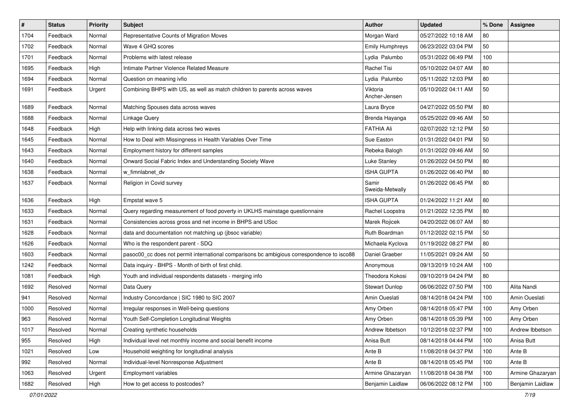| $\pmb{\#}$ | <b>Status</b> | <b>Priority</b> | Subject                                                                                    | <b>Author</b>             | <b>Updated</b>      | % Done | Assignee         |
|------------|---------------|-----------------|--------------------------------------------------------------------------------------------|---------------------------|---------------------|--------|------------------|
| 1704       | Feedback      | Normal          | Representative Counts of Migration Moves                                                   | Morgan Ward               | 05/27/2022 10:18 AM | 80     |                  |
| 1702       | Feedback      | Normal          | Wave 4 GHQ scores                                                                          | Emily Humphreys           | 06/23/2022 03:04 PM | 50     |                  |
| 1701       | Feedback      | Normal          | Problems with latest release                                                               | Lydia Palumbo             | 05/31/2022 06:49 PM | 100    |                  |
| 1695       | Feedback      | High            | Intimate Partner Violence Related Measure                                                  | Rachel Tisi               | 05/10/2022 04:07 AM | 80     |                  |
| 1694       | Feedback      | Normal          | Question on meaning ivfio                                                                  | Lydia Palumbo             | 05/11/2022 12:03 PM | 80     |                  |
| 1691       | Feedback      | Urgent          | Combining BHPS with US, as well as match children to parents across waves                  | Viktoria<br>Ancher-Jensen | 05/10/2022 04:11 AM | 50     |                  |
| 1689       | Feedback      | Normal          | Matching Spouses data across waves                                                         | Laura Bryce               | 04/27/2022 05:50 PM | 80     |                  |
| 1688       | Feedback      | Normal          | Linkage Query                                                                              | Brenda Hayanga            | 05/25/2022 09:46 AM | 50     |                  |
| 1648       | Feedback      | High            | Help with linking data across two waves                                                    | <b>FATHIA Ali</b>         | 02/07/2022 12:12 PM | 50     |                  |
| 1645       | Feedback      | Normal          | How to Deal with Missingness in Health Variables Over Time                                 | Sue Easton                | 01/31/2022 04:01 PM | 50     |                  |
| 1643       | Feedback      | Normal          | Employment history for different samples                                                   | Rebeka Balogh             | 01/31/2022 09:46 AM | 50     |                  |
| 1640       | Feedback      | Normal          | Onward Social Fabric Index and Understanding Society Wave                                  | Luke Stanley              | 01/26/2022 04:50 PM | 80     |                  |
| 1638       | Feedback      | Normal          | w_fimnlabnet_dv                                                                            | <b>ISHA GUPTA</b>         | 01/26/2022 06:40 PM | 80     |                  |
| 1637       | Feedback      | Normal          | Religion in Covid survey                                                                   | Samir<br>Sweida-Metwally  | 01/26/2022 06:45 PM | 80     |                  |
| 1636       | Feedback      | High            | Empstat wave 5                                                                             | <b>ISHA GUPTA</b>         | 01/24/2022 11:21 AM | 80     |                  |
| 1633       | Feedback      | Normal          | Query regarding measurement of food poverty in UKLHS mainstage questionnaire               | Rachel Loopstra           | 01/21/2022 12:35 PM | 80     |                  |
| 1631       | Feedback      | Normal          | Consistencies across gross and net income in BHPS and USoc                                 | Marek Rojicek             | 04/20/2022 06:07 AM | 80     |                  |
| 1628       | Feedback      | Normal          | data and documentation not matching up (jbsoc variable)                                    | Ruth Boardman             | 01/12/2022 02:15 PM | 50     |                  |
| 1626       | Feedback      | Normal          | Who is the respondent parent - SDQ                                                         | Michaela Kyclova          | 01/19/2022 08:27 PM | 80     |                  |
| 1603       | Feedback      | Normal          | pasoc00_cc does not permit international comparisons bc ambigious correspondence to isco88 | Daniel Graeber            | 11/05/2021 09:24 AM | 50     |                  |
| 1242       | Feedback      | Normal          | Data inquiry - BHPS - Month of birth of first child.                                       | Anonymous                 | 09/13/2019 10:24 AM | 100    |                  |
| 1081       | Feedback      | High            | Youth and individual respondents datasets - merging info                                   | Theodora Kokosi           | 09/10/2019 04:24 PM | 80     |                  |
| 1692       | Resolved      | Normal          | Data Query                                                                                 | <b>Stewart Dunlop</b>     | 06/06/2022 07:50 PM | 100    | Alita Nandi      |
| 941        | Resolved      | Normal          | Industry Concordance   SIC 1980 to SIC 2007                                                | Amin Oueslati             | 08/14/2018 04:24 PM | 100    | Amin Oueslati    |
| 1000       | Resolved      | Normal          | Irregular responses in Well-being questions                                                | Amy Orben                 | 08/14/2018 05:47 PM | 100    | Amy Orben        |
| 963        | Resolved      | Normal          | Youth Self-Completion Longitudinal Weights                                                 | Amy Orben                 | 08/14/2018 05:39 PM | 100    | Amy Orben        |
| 1017       | Resolved      | Normal          | Creating synthetic households                                                              | Andrew Ibbetson           | 10/12/2018 02:37 PM | 100    | Andrew Ibbetson  |
| 955        | Resolved      | High            | Individual level net monthly income and social benefit income                              | Anisa Butt                | 08/14/2018 04:44 PM | 100    | Anisa Butt       |
| 1021       | Resolved      | Low             | Household weighting for longitudinal analysis                                              | Ante B                    | 11/08/2018 04:37 PM | 100    | Ante B           |
| 992        | Resolved      | Normal          | Individual-level Nonresponse Adjustment                                                    | Ante B                    | 08/14/2018 05:45 PM | 100    | Ante B           |
| 1063       | Resolved      | Urgent          | Employment variables                                                                       | Armine Ghazaryan          | 11/08/2018 04:38 PM | 100    | Armine Ghazaryan |
| 1682       | Resolved      | High            | How to get access to postcodes?                                                            | Benjamin Laidlaw          | 06/06/2022 08:12 PM | 100    | Benjamin Laidlaw |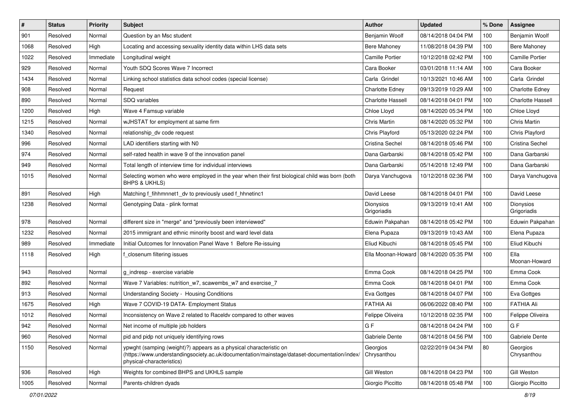| $\#$ | <b>Status</b> | <b>Priority</b> | <b>Subject</b>                                                                                                                                                                                  | Author                   | <b>Updated</b>                           | % Done | Assignee                 |
|------|---------------|-----------------|-------------------------------------------------------------------------------------------------------------------------------------------------------------------------------------------------|--------------------------|------------------------------------------|--------|--------------------------|
| 901  | Resolved      | Normal          | Question by an Msc student                                                                                                                                                                      | Benjamin Woolf           | 08/14/2018 04:04 PM                      | 100    | Benjamin Woolf           |
| 1068 | Resolved      | High            | Locating and accessing sexuality identity data within LHS data sets                                                                                                                             | <b>Bere Mahoney</b>      | 11/08/2018 04:39 PM                      | 100    | <b>Bere Mahoney</b>      |
| 1022 | Resolved      | Immediate       | Longitudinal weight                                                                                                                                                                             | <b>Camille Portier</b>   | 10/12/2018 02:42 PM                      | 100    | <b>Camille Portier</b>   |
| 929  | Resolved      | Normal          | Youth SDQ Scores Wave 7 Incorrect                                                                                                                                                               | Cara Booker              | 03/01/2018 11:14 AM                      | 100    | Cara Booker              |
| 1434 | Resolved      | Normal          | Linking school statistics data school codes (special license)                                                                                                                                   | Carla Grindel            | 10/13/2021 10:46 AM                      | 100    | Carla Grindel            |
| 908  | Resolved      | Normal          | Request                                                                                                                                                                                         | <b>Charlotte Edney</b>   | 09/13/2019 10:29 AM                      | 100    | <b>Charlotte Edney</b>   |
| 890  | Resolved      | Normal          | SDQ variables                                                                                                                                                                                   | <b>Charlotte Hassell</b> | 08/14/2018 04:01 PM                      | 100    | <b>Charlotte Hassell</b> |
| 1200 | Resolved      | High            | Wave 4 Famsup variable                                                                                                                                                                          | Chloe Lloyd              | 08/14/2020 05:34 PM                      | 100    | Chloe Lloyd              |
| 1215 | Resolved      | Normal          | wJHSTAT for employment at same firm                                                                                                                                                             | Chris Martin             | 08/14/2020 05:32 PM                      | 100    | Chris Martin             |
| 1340 | Resolved      | Normal          | relationship_dv code request                                                                                                                                                                    | Chris Playford           | 05/13/2020 02:24 PM                      | 100    | Chris Playford           |
| 996  | Resolved      | Normal          | LAD identifiers starting with N0                                                                                                                                                                | <b>Cristina Sechel</b>   | 08/14/2018 05:46 PM                      | 100    | Cristina Sechel          |
| 974  | Resolved      | Normal          | self-rated health in wave 9 of the innovation panel                                                                                                                                             | Dana Garbarski           | 08/14/2018 05:42 PM                      | 100    | Dana Garbarski           |
| 949  | Resolved      | Normal          | Total length of interview time for individual interviews                                                                                                                                        | Dana Garbarski           | 05/14/2018 12:49 PM                      | 100    | Dana Garbarski           |
| 1015 | Resolved      | Normal          | Selecting women who were employed in the year when their first biological child was born (both<br>BHPS & UKHLS)                                                                                 | Darya Vanchugova         | 10/12/2018 02:36 PM                      | 100    | Darya Vanchugova         |
| 891  | Resolved      | High            | Matching f fihhmnnet1 dv to previously used f hhnetinc1                                                                                                                                         | David Leese              | 08/14/2018 04:01 PM                      | 100    | David Leese              |
| 1238 | Resolved      | Normal          | Genotyping Data - plink format                                                                                                                                                                  | Dionysios<br>Grigoriadis | 09/13/2019 10:41 AM                      | 100    | Dionysios<br>Grigoriadis |
| 978  | Resolved      | Normal          | different size in "merge" and "previously been interviewed"                                                                                                                                     | Eduwin Pakpahan          | 08/14/2018 05:42 PM                      | 100    | Eduwin Pakpahan          |
| 1232 | Resolved      | Normal          | 2015 immigrant and ethnic minority boost and ward level data                                                                                                                                    | Elena Pupaza             | 09/13/2019 10:43 AM                      | 100    | Elena Pupaza             |
| 989  | Resolved      | Immediate       | Initial Outcomes for Innovation Panel Wave 1 Before Re-issuing                                                                                                                                  | Eliud Kibuchi            | 08/14/2018 05:45 PM                      | 100    | Eliud Kibuchi            |
| 1118 | Resolved      | High            | closenum filtering issues                                                                                                                                                                       |                          | Ella Moonan-Howard   08/14/2020 05:35 PM | 100    | Ella<br>Moonan-Howard    |
| 943  | Resolved      | Normal          | g_indresp - exercise variable                                                                                                                                                                   | Emma Cook                | 08/14/2018 04:25 PM                      | 100    | Emma Cook                |
| 892  | Resolved      | Normal          | Wave 7 Variables: nutrition_w7, scawembs_w7 and exercise_7                                                                                                                                      | Emma Cook                | 08/14/2018 04:01 PM                      | 100    | Emma Cook                |
| 913  | Resolved      | Normal          | <b>Understanding Society - Housing Conditions</b>                                                                                                                                               | Eva Gottges              | 08/14/2018 04:07 PM                      | 100    | Eva Gottges              |
| 1675 | Resolved      | High            | Wave 7 COVID-19 DATA- Employment Status                                                                                                                                                         | <b>FATHIA Ali</b>        | 06/06/2022 08:40 PM                      | 100    | <b>FATHIA Ali</b>        |
| 1012 | Resolved      | Normal          | Inconsistency on Wave 2 related to Raceldy compared to other waves                                                                                                                              | Felippe Oliveira         | 10/12/2018 02:35 PM                      | 100    | Felippe Oliveira         |
| 942  | Resolved      | Normal          | Net income of multiple job holders                                                                                                                                                              | G F                      | 08/14/2018 04:24 PM                      | $100$  | G F                      |
| 960  | Resolved      | Normal          | pid and pidp not uniquely identifying rows                                                                                                                                                      | Gabriele Dente           | 08/14/2018 04:56 PM                      | 100    | Gabriele Dente           |
| 1150 | Resolved      | Normal          | ypwght (samping (weight)?) appears as a physical characteristic on<br>(https://www.understandingsociety.ac.uk/documentation/mainstage/dataset-documentation/index/<br>physical-characteristics) | Georgios<br>Chrysanthou  | 02/22/2019 04:34 PM                      | 80     | Georgios<br>Chrysanthou  |
| 936  | Resolved      | High            | Weights for combined BHPS and UKHLS sample                                                                                                                                                      | Gill Weston              | 08/14/2018 04:23 PM                      | 100    | Gill Weston              |
| 1005 | Resolved      | Normal          | Parents-children dyads                                                                                                                                                                          | Giorgio Piccitto         | 08/14/2018 05:48 PM                      | 100    | Giorgio Piccitto         |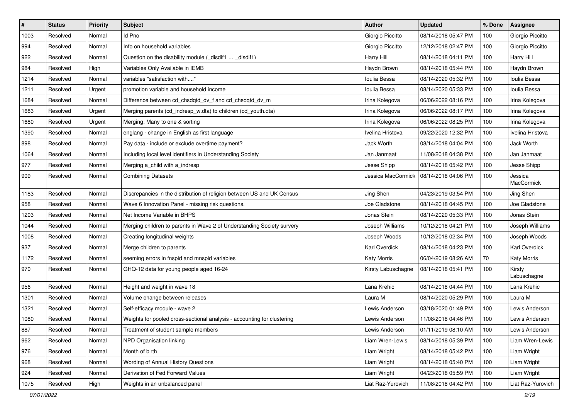| $\#$ | <b>Status</b> | <b>Priority</b> | <b>Subject</b>                                                          | <b>Author</b>      | <b>Updated</b>      | % Done | Assignee              |
|------|---------------|-----------------|-------------------------------------------------------------------------|--------------------|---------------------|--------|-----------------------|
| 1003 | Resolved      | Normal          | Id Pno                                                                  | Giorgio Piccitto   | 08/14/2018 05:47 PM | 100    | Giorgio Piccitto      |
| 994  | Resolved      | Normal          | Info on household variables                                             | Giorgio Piccitto   | 12/12/2018 02:47 PM | 100    | Giorgio Piccitto      |
| 922  | Resolved      | Normal          | Question on the disability module (_disdif1  _disdif1)                  | Harry Hill         | 08/14/2018 04:11 PM | 100    | Harry Hill            |
| 984  | Resolved      | High            | Variables Only Available in IEMB                                        | Haydn Brown        | 08/14/2018 05:44 PM | 100    | Haydn Brown           |
| 1214 | Resolved      | Normal          | variables "satisfaction with"                                           | Ioulia Bessa       | 08/14/2020 05:32 PM | 100    | Ioulia Bessa          |
| 1211 | Resolved      | Urgent          | promotion variable and household income                                 | Ioulia Bessa       | 08/14/2020 05:33 PM | 100    | Ioulia Bessa          |
| 1684 | Resolved      | Normal          | Difference between cd_chsdqtd_dv_f and cd_chsdqtd_dv_m                  | Irina Kolegova     | 06/06/2022 08:16 PM | 100    | Irina Kolegova        |
| 1683 | Resolved      | Urgent          | Merging parents (cd_indresp_w.dta) to children (cd_youth.dta)           | Irina Kolegova     | 06/06/2022 08:17 PM | 100    | Irina Kolegova        |
| 1680 | Resolved      | Urgent          | Merging: Many to one & sorting                                          | Irina Kolegova     | 06/06/2022 08:25 PM | 100    | Irina Kolegova        |
| 1390 | Resolved      | Normal          | englang - change in English as first language                           | Ivelina Hristova   | 09/22/2020 12:32 PM | 100    | Ivelina Hristova      |
| 898  | Resolved      | Normal          | Pay data - include or exclude overtime payment?                         | Jack Worth         | 08/14/2018 04:04 PM | 100    | Jack Worth            |
| 1064 | Resolved      | Normal          | Including local level identifiers in Understanding Society              | Jan Janmaat        | 11/08/2018 04:38 PM | 100    | Jan Janmaat           |
| 977  | Resolved      | Normal          | Merging a child with a indresp                                          | Jesse Shipp        | 08/14/2018 05:42 PM | 100    | Jesse Shipp           |
| 909  | Resolved      | Normal          | <b>Combining Datasets</b>                                               | Jessica MacCormick | 08/14/2018 04:06 PM | 100    | Jessica<br>MacCormick |
| 1183 | Resolved      | Normal          | Discrepancies in the distribution of religion between US and UK Census  | Jing Shen          | 04/23/2019 03:54 PM | 100    | Jing Shen             |
| 958  | Resolved      | Normal          | Wave 6 Innovation Panel - missing risk questions.                       | Joe Gladstone      | 08/14/2018 04:45 PM | 100    | Joe Gladstone         |
| 1203 | Resolved      | Normal          | Net Income Variable in BHPS                                             | Jonas Stein        | 08/14/2020 05:33 PM | 100    | Jonas Stein           |
| 1044 | Resolved      | Normal          | Merging children to parents in Wave 2 of Understanding Society survery  | Joseph Williams    | 10/12/2018 04:21 PM | 100    | Joseph Williams       |
| 1008 | Resolved      | Normal          | Creating longitudinal weights                                           | Joseph Woods       | 10/12/2018 02:34 PM | 100    | Joseph Woods          |
| 937  | Resolved      | Normal          | Merge children to parents                                               | Karl Overdick      | 08/14/2018 04:23 PM | 100    | Karl Overdick         |
| 1172 | Resolved      | Normal          | seeming errors in fnspid and mnspid variables                           | <b>Katy Morris</b> | 06/04/2019 08:26 AM | 70     | <b>Katy Morris</b>    |
| 970  | Resolved      | Normal          | GHQ-12 data for young people aged 16-24                                 | Kirsty Labuschagne | 08/14/2018 05:41 PM | 100    | Kirsty<br>Labuschagne |
| 956  | Resolved      | Normal          | Height and weight in wave 18                                            | Lana Krehic        | 08/14/2018 04:44 PM | 100    | Lana Krehic           |
| 1301 | Resolved      | Normal          | Volume change between releases                                          | Laura M            | 08/14/2020 05:29 PM | 100    | Laura M               |
| 1321 | Resolved      | Normal          | Self-efficacy module - wave 2                                           | Lewis Anderson     | 03/18/2020 01:49 PM | 100    | Lewis Anderson        |
| 1080 | Resolved      | Normal          | Weights for pooled cross-sectional analysis - accounting for clustering | Lewis Anderson     | 11/08/2018 04:46 PM | 100    | Lewis Anderson        |
| 887  | Resolved      | Normal          | Treatment of student sample members                                     | Lewis Anderson     | 01/11/2019 08:10 AM | 100    | Lewis Anderson        |
| 962  | Resolved      | Normal          | NPD Organisation linking                                                | Liam Wren-Lewis    | 08/14/2018 05:39 PM | 100    | Liam Wren-Lewis       |
| 976  | Resolved      | Normal          | Month of birth                                                          | Liam Wright        | 08/14/2018 05:42 PM | 100    | Liam Wright           |
| 968  | Resolved      | Normal          | Wording of Annual History Questions                                     | Liam Wright        | 08/14/2018 05:40 PM | 100    | Liam Wright           |
| 924  | Resolved      | Normal          | Derivation of Fed Forward Values                                        | Liam Wright        | 04/23/2018 05:59 PM | 100    | Liam Wright           |
| 1075 | Resolved      | High            | Weights in an unbalanced panel                                          | Liat Raz-Yurovich  | 11/08/2018 04:42 PM | 100    | Liat Raz-Yurovich     |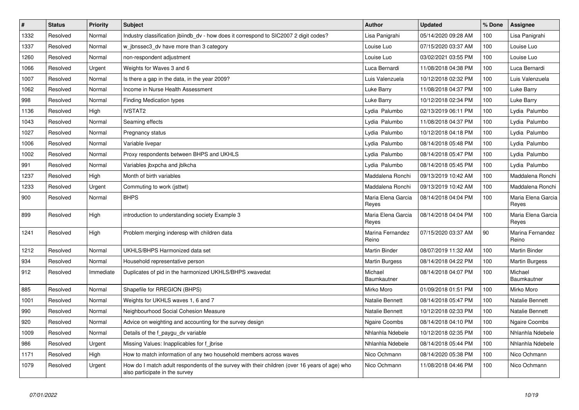| #    | <b>Status</b> | <b>Priority</b> | <b>Subject</b>                                                                                                                  | Author                      | <b>Updated</b>      | % Done | <b>Assignee</b>             |
|------|---------------|-----------------|---------------------------------------------------------------------------------------------------------------------------------|-----------------------------|---------------------|--------|-----------------------------|
| 1332 | Resolved      | Normal          | Industry classification jbiindb dv - how does it correspond to SIC2007 2 digit codes?                                           | Lisa Panigrahi              | 05/14/2020 09:28 AM | 100    | Lisa Panigrahi              |
| 1337 | Resolved      | Normal          | w jbnssec3 dv have more than 3 category                                                                                         | Louise Luo                  | 07/15/2020 03:37 AM | 100    | Louise Luo                  |
| 1260 | Resolved      | Normal          | non-respondent adjustment                                                                                                       | Louise Luo                  | 03/02/2021 03:55 PM | 100    | Louise Luo                  |
| 1066 | Resolved      | Urgent          | Weights for Waves 3 and 6                                                                                                       | Luca Bernardi               | 11/08/2018 04:38 PM | 100    | Luca Bernardi               |
| 1007 | Resolved      | Normal          | Is there a gap in the data, in the year 2009?                                                                                   | Luis Valenzuela             | 10/12/2018 02:32 PM | 100    | Luis Valenzuela             |
| 1062 | Resolved      | Normal          | Income in Nurse Health Assessment                                                                                               | Luke Barry                  | 11/08/2018 04:37 PM | 100    | Luke Barry                  |
| 998  | Resolved      | Normal          | <b>Finding Medication types</b>                                                                                                 | Luke Barry                  | 10/12/2018 02:34 PM | 100    | Luke Barry                  |
| 1136 | Resolved      | High            | <b>IVSTAT2</b>                                                                                                                  | Lydia Palumbo               | 02/13/2019 06:11 PM | 100    | Lydia Palumbo               |
| 1043 | Resolved      | Normal          | Seaming effects                                                                                                                 | Lydia Palumbo               | 11/08/2018 04:37 PM | 100    | Lydia Palumbo               |
| 1027 | Resolved      | Normal          | Pregnancy status                                                                                                                | Lydia Palumbo               | 10/12/2018 04:18 PM | 100    | Lydia Palumbo               |
| 1006 | Resolved      | Normal          | Variable livepar                                                                                                                | Lydia Palumbo               | 08/14/2018 05:48 PM | 100    | Lydia Palumbo               |
| 1002 | Resolved      | Normal          | Proxy respondents between BHPS and UKHLS                                                                                        | Lydia Palumbo               | 08/14/2018 05:47 PM | 100    | Lydia Palumbo               |
| 991  | Resolved      | Normal          | Variables jbxpcha and jblkcha                                                                                                   | Lydia Palumbo               | 08/14/2018 05:45 PM | 100    | Lydia Palumbo               |
| 1237 | Resolved      | High            | Month of birth variables                                                                                                        | Maddalena Ronchi            | 09/13/2019 10:42 AM | 100    | Maddalena Ronchi            |
| 1233 | Resolved      | Urgent          | Commuting to work (jsttwt)                                                                                                      | Maddalena Ronchi            | 09/13/2019 10:42 AM | 100    | Maddalena Ronchi            |
| 900  | Resolved      | Normal          | <b>BHPS</b>                                                                                                                     | Maria Elena Garcia<br>Reves | 08/14/2018 04:04 PM | 100    | Maria Elena Garcia<br>Reves |
| 899  | Resolved      | High            | introduction to understanding society Example 3                                                                                 | Maria Elena Garcia<br>Reyes | 08/14/2018 04:04 PM | 100    | Maria Elena Garcia<br>Reyes |
| 1241 | Resolved      | High            | Problem merging inderesp with children data                                                                                     | Marina Fernandez<br>Reino   | 07/15/2020 03:37 AM | 90     | Marina Fernandez<br>Reino   |
| 1212 | Resolved      | Normal          | UKHLS/BHPS Harmonized data set                                                                                                  | Martin Binder               | 08/07/2019 11:32 AM | 100    | <b>Martin Binder</b>        |
| 934  | Resolved      | Normal          | Household representative person                                                                                                 | Martin Burgess              | 08/14/2018 04:22 PM | 100    | Martin Burgess              |
| 912  | Resolved      | Immediate       | Duplicates of pid in the harmonized UKHLS/BHPS xwavedat                                                                         | Michael<br>Baumkautner      | 08/14/2018 04:07 PM | 100    | Michael<br>Baumkautner      |
| 885  | Resolved      | Normal          | Shapefile for RREGION (BHPS)                                                                                                    | Mirko Moro                  | 01/09/2018 01:51 PM | 100    | Mirko Moro                  |
| 1001 | Resolved      | Normal          | Weights for UKHLS waves 1, 6 and 7                                                                                              | Natalie Bennett             | 08/14/2018 05:47 PM | 100    | Natalie Bennett             |
| 990  | Resolved      | Normal          | Neighbourhood Social Cohesion Measure                                                                                           | <b>Natalie Bennett</b>      | 10/12/2018 02:33 PM | 100    | Natalie Bennett             |
| 920  | Resolved      | Normal          | Advice on weighting and accounting for the survey design                                                                        | Ngaire Coombs               | 08/14/2018 04:10 PM | 100    | Ngaire Coombs               |
| 1009 | Resolved      | Normal          | Details of the f_paygu_dv variable                                                                                              | Nhlanhla Ndebele            | 10/12/2018 02:35 PM | 100    | Nhlanhla Ndebele            |
| 986  | Resolved      | Urgent          | Missing Values: Inapplicables for f_jbrise                                                                                      | Nhlanhla Ndebele            | 08/14/2018 05:44 PM | 100    | Nhlanhla Ndebele            |
| 1171 | Resolved      | High            | How to match information of any two household members across waves                                                              | Nico Ochmann                | 08/14/2020 05:38 PM | 100    | Nico Ochmann                |
| 1079 | Resolved      | Urgent          | How do I match adult respondents of the survey with their children (over 16 years of age) who<br>also participate in the survey | Nico Ochmann                | 11/08/2018 04:46 PM | 100    | Nico Ochmann                |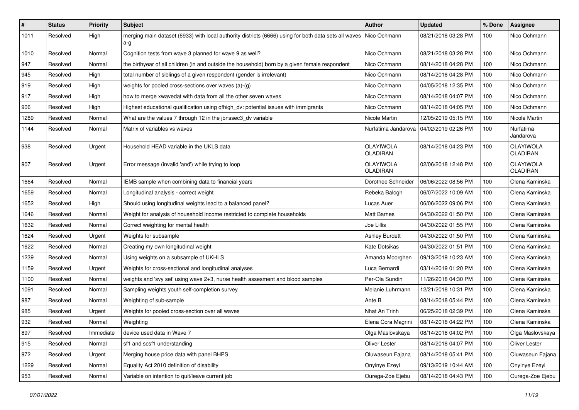| $\#$ | <b>Status</b> | <b>Priority</b> | Subject                                                                                                     | <b>Author</b>         | <b>Updated</b>                            | % Done | <b>Assignee</b>              |
|------|---------------|-----------------|-------------------------------------------------------------------------------------------------------------|-----------------------|-------------------------------------------|--------|------------------------------|
| 1011 | Resolved      | High            | merging main dataset (6933) with local authority districts (6666) using for both data sets all waves<br>a-g | Nico Ochmann          | 08/21/2018 03:28 PM                       | 100    | Nico Ochmann                 |
| 1010 | Resolved      | Normal          | Cognition tests from wave 3 planned for wave 9 as well?                                                     | Nico Ochmann          | 08/21/2018 03:28 PM                       | 100    | Nico Ochmann                 |
| 947  | Resolved      | Normal          | the birthyear of all children (in and outside the household) born by a given female respondent              | Nico Ochmann          | 08/14/2018 04:28 PM                       | 100    | Nico Ochmann                 |
| 945  | Resolved      | High            | total number of siblings of a given respondent (gender is irrelevant)                                       | Nico Ochmann          | 08/14/2018 04:28 PM                       | 100    | Nico Ochmann                 |
| 919  | Resolved      | High            | weights for pooled cross-sections over waves (a)-(g)                                                        | Nico Ochmann          | 04/05/2018 12:35 PM                       | 100    | Nico Ochmann                 |
| 917  | Resolved      | High            | how to merge xwavedat with data from all the other seven waves                                              | Nico Ochmann          | 08/14/2018 04:07 PM                       | 100    | Nico Ochmann                 |
| 906  | Resolved      | High            | Highest educational qualification using qfhigh dv: potential issues with immigrants                         | Nico Ochmann          | 08/14/2018 04:05 PM                       | 100    | Nico Ochmann                 |
| 1289 | Resolved      | Normal          | What are the values 7 through 12 in the jbnssec3_dv variable                                                | Nicole Martin         | 12/05/2019 05:15 PM                       | 100    | Nicole Martin                |
| 1144 | Resolved      | Normal          | Matrix of variables vs waves                                                                                |                       | Nurfatima Jandarova   04/02/2019 02:26 PM | 100    | Nurfatima<br>Jandarova       |
| 938  | Resolved      | Urgent          | Household HEAD variable in the UKLS data                                                                    | OLAYIWOLA<br>OLADIRAN | 08/14/2018 04:23 PM                       | 100    | OLAYIWOLA<br><b>OLADIRAN</b> |
| 907  | Resolved      | Urgent          | Error message (invalid 'and') while trying to loop                                                          | OLAYIWOLA<br>OLADIRAN | 02/06/2018 12:48 PM                       | 100    | OLAYIWOLA<br><b>OLADIRAN</b> |
| 1664 | Resolved      | Normal          | IEMB sample when combining data to financial years                                                          | Dorothee Schneider    | 06/06/2022 08:56 PM                       | 100    | Olena Kaminska               |
| 1659 | Resolved      | Normal          | Longitudinal analysis - correct weight                                                                      | Rebeka Balogh         | 06/07/2022 10:09 AM                       | 100    | Olena Kaminska               |
| 1652 | Resolved      | High            | Should using longitudinal weights lead to a balanced panel?                                                 | Lucas Auer            | 06/06/2022 09:06 PM                       | 100    | Olena Kaminska               |
| 1646 | Resolved      | Normal          | Weight for analysis of household income restricted to complete households                                   | Matt Barnes           | 04/30/2022 01:50 PM                       | 100    | Olena Kaminska               |
| 1632 | Resolved      | Normal          | Correct weighting for mental health                                                                         | Joe Lillis            | 04/30/2022 01:55 PM                       | 100    | Olena Kaminska               |
| 1624 | Resolved      | Urgent          | Weights for subsample                                                                                       | <b>Ashley Burdett</b> | 04/30/2022 01:50 PM                       | 100    | Olena Kaminska               |
| 1622 | Resolved      | Normal          | Creating my own longitudinal weight                                                                         | Kate Dotsikas         | 04/30/2022 01:51 PM                       | 100    | Olena Kaminska               |
| 1239 | Resolved      | Normal          | Using weights on a subsample of UKHLS                                                                       | Amanda Moorghen       | 09/13/2019 10:23 AM                       | 100    | Olena Kaminska               |
| 1159 | Resolved      | Urgent          | Weights for cross-sectional and longitudinal analyses                                                       | Luca Bernardi         | 03/14/2019 01:20 PM                       | 100    | Olena Kaminska               |
| 1100 | Resolved      | Normal          | weights and 'svy set' using wave 2+3, nurse health assesment and blood samples                              | Per-Ola Sundin        | 11/26/2018 04:30 PM                       | 100    | Olena Kaminska               |
| 1091 | Resolved      | Normal          | Sampling weights youth self-completion survey                                                               | Melanie Luhrmann      | 12/21/2018 10:31 PM                       | 100    | Olena Kaminska               |
| 987  | Resolved      | Normal          | Weighting of sub-sample                                                                                     | Ante B                | 08/14/2018 05:44 PM                       | 100    | Olena Kaminska               |
| 985  | Resolved      | Urgent          | Weights for pooled cross-section over all waves                                                             | Nhat An Trinh         | 06/25/2018 02:39 PM                       | 100    | Olena Kaminska               |
| 932  | Resolved      | Normal          | Weighting                                                                                                   | Elena Cora Magrini    | 08/14/2018 04:22 PM                       | 100    | Olena Kaminska               |
| 897  | Resolved      | Immediate       | device used data in Wave 7                                                                                  | Olga Maslovskaya      | 08/14/2018 04:02 PM                       | 100    | Olga Maslovskaya             |
| 915  | Resolved      | Normal          | sf1 and scsf1 understanding                                                                                 | Oliver Lester         | 08/14/2018 04:07 PM                       | 100    | Oliver Lester                |
| 972  | Resolved      | Urgent          | Merging house price data with panel BHPS                                                                    | Oluwaseun Fajana      | 08/14/2018 05:41 PM                       | 100    | Oluwaseun Fajana             |
| 1229 | Resolved      | Normal          | Equality Act 2010 definition of disability                                                                  | Onyinye Ezeyi         | 09/13/2019 10:44 AM                       | 100    | Onyinye Ezeyi                |
| 953  | Resolved      | Normal          | Variable on intention to quit/leave current job                                                             | Ourega-Zoe Ejebu      | 08/14/2018 04:43 PM                       | 100    | Ourega-Zoe Ejebu             |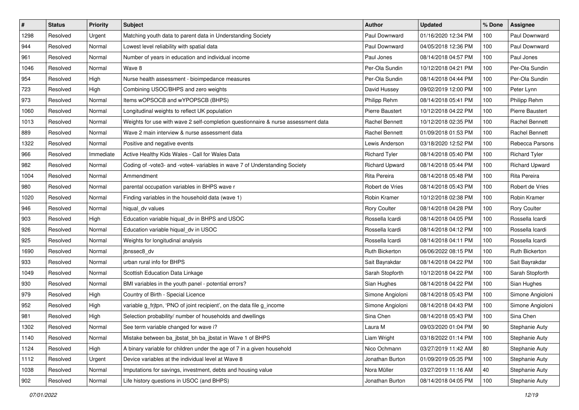| $\vert$ # | <b>Status</b> | <b>Priority</b> | <b>Subject</b>                                                                    | <b>Author</b>        | Updated             | % Done | <b>Assignee</b>       |
|-----------|---------------|-----------------|-----------------------------------------------------------------------------------|----------------------|---------------------|--------|-----------------------|
| 1298      | Resolved      | Urgent          | Matching youth data to parent data in Understanding Society                       | Paul Downward        | 01/16/2020 12:34 PM | 100    | Paul Downward         |
| 944       | Resolved      | Normal          | Lowest level reliability with spatial data                                        | Paul Downward        | 04/05/2018 12:36 PM | 100    | Paul Downward         |
| 961       | Resolved      | Normal          | Number of years in education and individual income                                | Paul Jones           | 08/14/2018 04:57 PM | 100    | Paul Jones            |
| 1046      | Resolved      | Normal          | Wave 8                                                                            | Per-Ola Sundin       | 10/12/2018 04:21 PM | 100    | Per-Ola Sundin        |
| 954       | Resolved      | High            | Nurse health assessment - bioimpedance measures                                   | Per-Ola Sundin       | 08/14/2018 04:44 PM | 100    | Per-Ola Sundin        |
| 723       | Resolved      | High            | Combining USOC/BHPS and zero weights                                              | David Hussey         | 09/02/2019 12:00 PM | 100    | Peter Lynn            |
| 973       | Resolved      | Normal          | Items wOPSOCB and wYPOPSCB (BHPS)                                                 | Philipp Rehm         | 08/14/2018 05:41 PM | 100    | Philipp Rehm          |
| 1060      | Resolved      | Normal          | Longitudinal weights to reflect UK population                                     | Pierre Baustert      | 10/12/2018 04:22 PM | 100    | Pierre Baustert       |
| 1013      | Resolved      | Normal          | Weights for use with wave 2 self-completion questionnaire & nurse assessment data | Rachel Bennett       | 10/12/2018 02:35 PM | 100    | <b>Rachel Bennett</b> |
| 889       | Resolved      | Normal          | Wave 2 main interview & nurse assessment data                                     | Rachel Bennett       | 01/09/2018 01:53 PM | 100    | <b>Rachel Bennett</b> |
| 1322      | Resolved      | Normal          | Positive and negative events                                                      | Lewis Anderson       | 03/18/2020 12:52 PM | 100    | Rebecca Parsons       |
| 966       | Resolved      | Immediate       | Active Healthy Kids Wales - Call for Wales Data                                   | <b>Richard Tyler</b> | 08/14/2018 05:40 PM | 100    | <b>Richard Tyler</b>  |
| 982       | Resolved      | Normal          | Coding of -vote3- and -vote4- variables in wave 7 of Understanding Society        | Richard Upward       | 08/14/2018 05:44 PM | 100    | <b>Richard Upward</b> |
| 1004      | Resolved      | Normal          | Ammendment                                                                        | Rita Pereira         | 08/14/2018 05:48 PM | 100    | Rita Pereira          |
| 980       | Resolved      | Normal          | parental occupation variables in BHPS wave r                                      | Robert de Vries      | 08/14/2018 05:43 PM | 100    | Robert de Vries       |
| 1020      | Resolved      | Normal          | Finding variables in the household data (wave 1)                                  | Robin Kramer         | 10/12/2018 02:38 PM | 100    | Robin Kramer          |
| 946       | Resolved      | Normal          | hiqual dv values                                                                  | Rory Coulter         | 08/14/2018 04:28 PM | 100    | Rory Coulter          |
| 903       | Resolved      | High            | Education variable hiqual_dv in BHPS and USOC                                     | Rossella Icardi      | 08/14/2018 04:05 PM | 100    | Rossella Icardi       |
| 926       | Resolved      | Normal          | Education variable hiqual_dv in USOC                                              | Rossella Icardi      | 08/14/2018 04:12 PM | 100    | Rossella Icardi       |
| 925       | Resolved      | Normal          | Weights for longitudinal analysis                                                 | Rossella Icardi      | 08/14/2018 04:11 PM | 100    | Rossella Icardi       |
| 1690      | Resolved      | Normal          | jbnssec8 dv                                                                       | Ruth Bickerton       | 06/06/2022 08:15 PM | 100    | <b>Ruth Bickerton</b> |
| 933       | Resolved      | Normal          | urban rural info for BHPS                                                         | Sait Bayrakdar       | 08/14/2018 04:22 PM | 100    | Sait Bayrakdar        |
| 1049      | Resolved      | Normal          | Scottish Education Data Linkage                                                   | Sarah Stopforth      | 10/12/2018 04:22 PM | 100    | Sarah Stopforth       |
| 930       | Resolved      | Normal          | BMI variables in the youth panel - potential errors?                              | Sian Hughes          | 08/14/2018 04:22 PM | 100    | Sian Hughes           |
| 979       | Resolved      | High            | Country of Birth - Special Licence                                                | Simone Angioloni     | 08/14/2018 05:43 PM | 100    | Simone Angioloni      |
| 952       | Resolved      | High            | variable g_frjtpn, 'PNO of joint recipient', on the data file g_income            | Simone Angioloni     | 08/14/2018 04:43 PM | 100    | Simone Angioloni      |
| 981       | Resolved      | High            | Selection probability/ number of households and dwellings                         | Sina Chen            | 08/14/2018 05:43 PM | 100    | Sina Chen             |
| 1302      | Resolved      | Normal          | See term variable changed for wave i?                                             | Laura M              | 09/03/2020 01:04 PM | 90     | Stephanie Auty        |
| 1140      | Resolved      | Normal          | Mistake between ba jbstat bh ba jbstat in Wave 1 of BHPS                          | Liam Wright          | 03/18/2022 01:14 PM | 100    | Stephanie Auty        |
| 1124      | Resolved      | High            | A binary variable for children under the age of 7 in a given household            | Nico Ochmann         | 03/27/2019 11:42 AM | 80     | Stephanie Auty        |
| 1112      | Resolved      | Urgent          | Device variables at the individual level at Wave 8                                | Jonathan Burton      | 01/09/2019 05:35 PM | 100    | Stephanie Auty        |
| 1038      | Resolved      | Normal          | Imputations for savings, investment, debts and housing value                      | Nora Müller          | 03/27/2019 11:16 AM | 40     | Stephanie Auty        |
| 902       | Resolved      | Normal          | Life history questions in USOC (and BHPS)                                         | Jonathan Burton      | 08/14/2018 04:05 PM | 100    | Stephanie Auty        |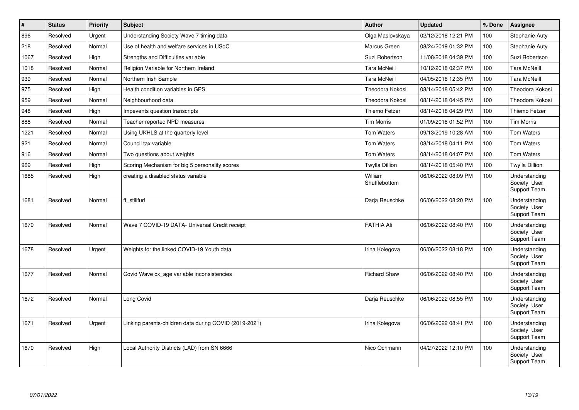| #    | <b>Status</b> | <b>Priority</b> | <b>Subject</b>                                         | <b>Author</b>            | <b>Updated</b>      | % Done | Assignee                                      |
|------|---------------|-----------------|--------------------------------------------------------|--------------------------|---------------------|--------|-----------------------------------------------|
| 896  | Resolved      | Urgent          | Understanding Society Wave 7 timing data               | Olga Maslovskaya         | 02/12/2018 12:21 PM | 100    | Stephanie Auty                                |
| 218  | Resolved      | Normal          | Use of health and welfare services in USoC             | Marcus Green             | 08/24/2019 01:32 PM | 100    | Stephanie Auty                                |
| 1067 | Resolved      | High            | Strengths and Difficulties variable                    | Suzi Robertson           | 11/08/2018 04:39 PM | 100    | Suzi Robertson                                |
| 1018 | Resolved      | Normal          | Religion Variable for Northern Ireland                 | <b>Tara McNeill</b>      | 10/12/2018 02:37 PM | 100    | <b>Tara McNeill</b>                           |
| 939  | Resolved      | Normal          | Northern Irish Sample                                  | <b>Tara McNeill</b>      | 04/05/2018 12:35 PM | 100    | <b>Tara McNeill</b>                           |
| 975  | Resolved      | High            | Health condition variables in GPS                      | Theodora Kokosi          | 08/14/2018 05:42 PM | 100    | Theodora Kokosi                               |
| 959  | Resolved      | Normal          | Neighbourhood data                                     | Theodora Kokosi          | 08/14/2018 04:45 PM | 100    | Theodora Kokosi                               |
| 948  | Resolved      | High            | Impevents question transcripts                         | Thiemo Fetzer            | 08/14/2018 04:29 PM | 100    | Thiemo Fetzer                                 |
| 888  | Resolved      | Normal          | Teacher reported NPD measures                          | <b>Tim Morris</b>        | 01/09/2018 01:52 PM | 100    | <b>Tim Morris</b>                             |
| 1221 | Resolved      | Normal          | Using UKHLS at the quarterly level                     | Tom Waters               | 09/13/2019 10:28 AM | 100    | <b>Tom Waters</b>                             |
| 921  | Resolved      | Normal          | Council tax variable                                   | Tom Waters               | 08/14/2018 04:11 PM | 100    | <b>Tom Waters</b>                             |
| 916  | Resolved      | Normal          | Two questions about weights                            | <b>Tom Waters</b>        | 08/14/2018 04:07 PM | 100    | <b>Tom Waters</b>                             |
| 969  | Resolved      | High            | Scoring Mechanism for big 5 personality scores         | <b>Twylla Dillion</b>    | 08/14/2018 05:40 PM | 100    | <b>Twylla Dillion</b>                         |
| 1685 | Resolved      | High            | creating a disabled status variable                    | William<br>Shufflebottom | 06/06/2022 08:09 PM | 100    | Understanding<br>Society User<br>Support Team |
| 1681 | Resolved      | Normal          | ff stillfurl                                           | Darja Reuschke           | 06/06/2022 08:20 PM | 100    | Understanding<br>Society User<br>Support Team |
| 1679 | Resolved      | Normal          | Wave 7 COVID-19 DATA- Universal Credit receipt         | <b>FATHIA Ali</b>        | 06/06/2022 08:40 PM | 100    | Understanding<br>Society User<br>Support Team |
| 1678 | Resolved      | Urgent          | Weights for the linked COVID-19 Youth data             | Irina Kolegova           | 06/06/2022 08:18 PM | 100    | Understanding<br>Society User<br>Support Team |
| 1677 | Resolved      | Normal          | Covid Wave cx age variable inconsistencies             | <b>Richard Shaw</b>      | 06/06/2022 08:40 PM | 100    | Understanding<br>Society User<br>Support Team |
| 1672 | Resolved      | Normal          | Long Covid                                             | Darja Reuschke           | 06/06/2022 08:55 PM | 100    | Understanding<br>Society User<br>Support Team |
| 1671 | Resolved      | Urgent          | Linking parents-children data during COVID (2019-2021) | Irina Kolegova           | 06/06/2022 08:41 PM | 100    | Understanding<br>Society User<br>Support Team |
| 1670 | Resolved      | High            | Local Authority Districts (LAD) from SN 6666           | Nico Ochmann             | 04/27/2022 12:10 PM | 100    | Understanding<br>Society User<br>Support Team |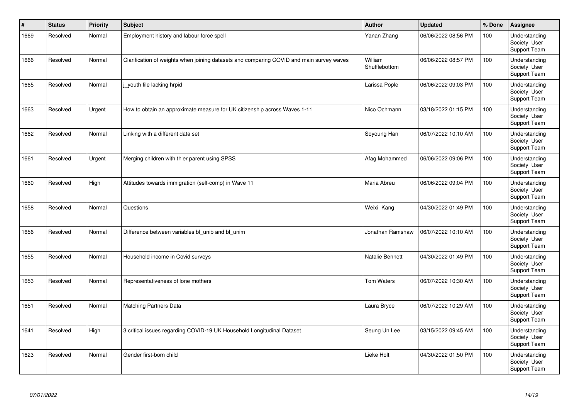| $\vert$ # | <b>Status</b> | <b>Priority</b> | <b>Subject</b>                                                                           | <b>Author</b>            | <b>Updated</b>      | % Done | Assignee                                      |
|-----------|---------------|-----------------|------------------------------------------------------------------------------------------|--------------------------|---------------------|--------|-----------------------------------------------|
| 1669      | Resolved      | Normal          | Employment history and labour force spell                                                | Yanan Zhang              | 06/06/2022 08:56 PM | 100    | Understanding<br>Society User<br>Support Team |
| 1666      | Resolved      | Normal          | Clarification of weights when joining datasets and comparing COVID and main survey waves | William<br>Shufflebottom | 06/06/2022 08:57 PM | 100    | Understanding<br>Society User<br>Support Team |
| 1665      | Resolved      | Normal          | j youth file lacking hrpid                                                               | Larissa Pople            | 06/06/2022 09:03 PM | 100    | Understanding<br>Society User<br>Support Team |
| 1663      | Resolved      | Urgent          | How to obtain an approximate measure for UK citizenship across Waves 1-11                | Nico Ochmann             | 03/18/2022 01:15 PM | 100    | Understanding<br>Society User<br>Support Team |
| 1662      | Resolved      | Normal          | Linking with a different data set                                                        | Soyoung Han              | 06/07/2022 10:10 AM | 100    | Understanding<br>Society User<br>Support Team |
| 1661      | Resolved      | Urgent          | Merging children with thier parent using SPSS                                            | Afag Mohammed            | 06/06/2022 09:06 PM | 100    | Understanding<br>Society User<br>Support Team |
| 1660      | Resolved      | High            | Attitudes towards immigration (self-comp) in Wave 11                                     | Maria Abreu              | 06/06/2022 09:04 PM | 100    | Understanding<br>Society User<br>Support Team |
| 1658      | Resolved      | Normal          | Questions                                                                                | Weixi Kang               | 04/30/2022 01:49 PM | 100    | Understanding<br>Society User<br>Support Team |
| 1656      | Resolved      | Normal          | Difference between variables bl unib and bl unim                                         | Jonathan Ramshaw         | 06/07/2022 10:10 AM | 100    | Understanding<br>Society User<br>Support Team |
| 1655      | Resolved      | Normal          | Household income in Covid surveys                                                        | Natalie Bennett          | 04/30/2022 01:49 PM | 100    | Understanding<br>Society User<br>Support Team |
| 1653      | Resolved      | Normal          | Representativeness of lone mothers                                                       | <b>Tom Waters</b>        | 06/07/2022 10:30 AM | 100    | Understanding<br>Society User<br>Support Team |
| 1651      | Resolved      | Normal          | <b>Matching Partners Data</b>                                                            | Laura Bryce              | 06/07/2022 10:29 AM | 100    | Understanding<br>Society User<br>Support Team |
| 1641      | Resolved      | High            | 3 critical issues regarding COVID-19 UK Household Longitudinal Dataset                   | Seung Un Lee             | 03/15/2022 09:45 AM | 100    | Understanding<br>Society User<br>Support Team |
| 1623      | Resolved      | Normal          | Gender first-born child                                                                  | Lieke Holt               | 04/30/2022 01:50 PM | 100    | Understanding<br>Society User<br>Support Team |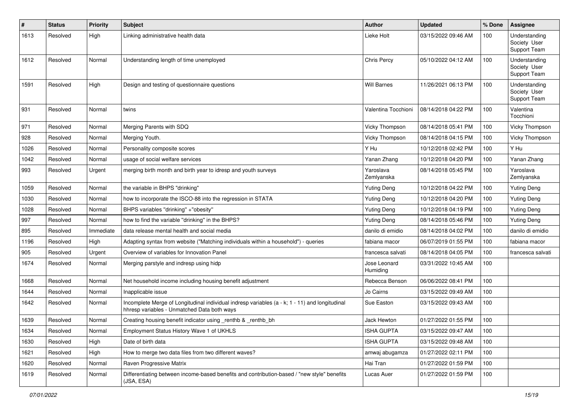| #    | <b>Status</b> | <b>Priority</b> | <b>Subject</b>                                                                                                                                | <b>Author</b>            | <b>Updated</b>      | % Done | Assignee                                      |
|------|---------------|-----------------|-----------------------------------------------------------------------------------------------------------------------------------------------|--------------------------|---------------------|--------|-----------------------------------------------|
| 1613 | Resolved      | High            | Linking administrative health data                                                                                                            | Lieke Holt               | 03/15/2022 09:46 AM | 100    | Understanding<br>Society User<br>Support Team |
| 1612 | Resolved      | Normal          | Understanding length of time unemployed                                                                                                       | Chris Percy              | 05/10/2022 04:12 AM | 100    | Understanding<br>Society User<br>Support Team |
| 1591 | Resolved      | High            | Design and testing of questionnaire questions                                                                                                 | <b>Will Barnes</b>       | 11/26/2021 06:13 PM | 100    | Understanding<br>Society User<br>Support Team |
| 931  | Resolved      | Normal          | twins                                                                                                                                         | Valentina Tocchioni      | 08/14/2018 04:22 PM | 100    | Valentina<br>Tocchioni                        |
| 971  | Resolved      | Normal          | Merging Parents with SDQ                                                                                                                      | Vicky Thompson           | 08/14/2018 05:41 PM | 100    | Vicky Thompson                                |
| 928  | Resolved      | Normal          | Merging Youth.                                                                                                                                | Vicky Thompson           | 08/14/2018 04:15 PM | 100    | Vicky Thompson                                |
| 1026 | Resolved      | Normal          | Personality composite scores                                                                                                                  | Y Hu                     | 10/12/2018 02:42 PM | 100    | Y Hu                                          |
| 1042 | Resolved      | Normal          | usage of social welfare services                                                                                                              | Yanan Zhang              | 10/12/2018 04:20 PM | 100    | Yanan Zhang                                   |
| 993  | Resolved      | Urgent          | merging birth month and birth year to idresp and youth surveys                                                                                | Yaroslava<br>Zemlyanska  | 08/14/2018 05:45 PM | 100    | Yaroslava<br>Zemlyanska                       |
| 1059 | Resolved      | Normal          | the variable in BHPS "drinking"                                                                                                               | <b>Yuting Deng</b>       | 10/12/2018 04:22 PM | 100    | <b>Yuting Deng</b>                            |
| 1030 | Resolved      | Normal          | how to incorporate the ISCO-88 into the regression in STATA                                                                                   | <b>Yuting Deng</b>       | 10/12/2018 04:20 PM | 100    | <b>Yuting Deng</b>                            |
| 1028 | Resolved      | Normal          | BHPS variables "drinking" +"obesity"                                                                                                          | <b>Yuting Deng</b>       | 10/12/2018 04:19 PM | 100    | <b>Yuting Deng</b>                            |
| 997  | Resolved      | Normal          | how to find the variable "drinking" in the BHPS?                                                                                              | <b>Yuting Deng</b>       | 08/14/2018 05:46 PM | 100    | <b>Yuting Deng</b>                            |
| 895  | Resolved      | Immediate       | data release mental health and social media                                                                                                   | danilo di emidio         | 08/14/2018 04:02 PM | 100    | danilo di emidio                              |
| 1196 | Resolved      | High            | Adapting syntax from website ("Matching individuals within a household") - queries                                                            | fabiana macor            | 06/07/2019 01:55 PM | 100    | fabiana macor                                 |
| 905  | Resolved      | Urgent          | Overview of variables for Innovation Panel                                                                                                    | francesca salvati        | 08/14/2018 04:05 PM | 100    | francesca salvati                             |
| 1674 | Resolved      | Normal          | Merging parstyle and indresp using hidp                                                                                                       | Jose Leonard<br>Humiding | 03/31/2022 10:45 AM | 100    |                                               |
| 1668 | Resolved      | Normal          | Net household income including housing benefit adjustment                                                                                     | Rebecca Benson           | 06/06/2022 08:41 PM | 100    |                                               |
| 1644 | Resolved      | Normal          | Inapplicable issue                                                                                                                            | Jo Cairns                | 03/15/2022 09:49 AM | 100    |                                               |
| 1642 | Resolved      | Normal          | Incomplete Merge of Longitudinal individual indresp variables (a - k; 1 - 11) and longitudinal<br>hhresp variables - Unmatched Data both ways | Sue Easton               | 03/15/2022 09:43 AM | 100    |                                               |
| 1639 | Resolved      | Normal          | Creating housing benefit indicator using _renthb & _renthb_bh                                                                                 | Jack Hewton              | 01/27/2022 01:55 PM | 100    |                                               |
| 1634 | Resolved      | Normal          | Employment Status History Wave 1 of UKHLS                                                                                                     | <b>ISHA GUPTA</b>        | 03/15/2022 09:47 AM | 100    |                                               |
| 1630 | Resolved      | High            | Date of birth data                                                                                                                            | <b>ISHA GUPTA</b>        | 03/15/2022 09:48 AM | 100    |                                               |
| 1621 | Resolved      | High            | How to merge two data files from two different waves?                                                                                         | amwaj abugamza           | 01/27/2022 02:11 PM | 100    |                                               |
| 1620 | Resolved      | Normal          | Raven Progressive Matrix                                                                                                                      | Hai Tran                 | 01/27/2022 01:59 PM | 100    |                                               |
| 1619 | Resolved      | Normal          | Differentiating between income-based benefits and contribution-based / "new style" benefits<br>(JSA, ESA)                                     | Lucas Auer               | 01/27/2022 01:59 PM | 100    |                                               |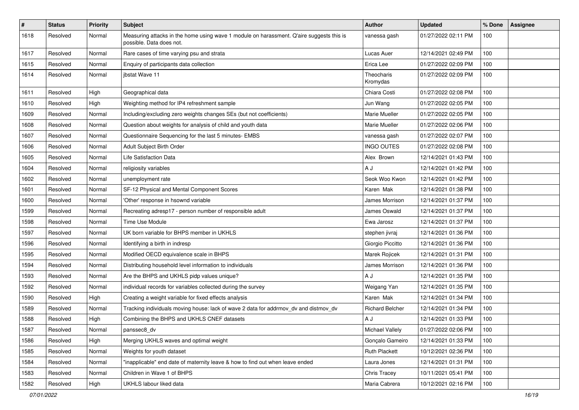| $\#$ | <b>Status</b> | <b>Priority</b> | <b>Subject</b>                                                                                                       | Author                 | <b>Updated</b>      | % Done | Assignee |
|------|---------------|-----------------|----------------------------------------------------------------------------------------------------------------------|------------------------|---------------------|--------|----------|
| 1618 | Resolved      | Normal          | Measuring attacks in the home using wave 1 module on harassment. Q'aire suggests this is<br>possible. Data does not. | vanessa gash           | 01/27/2022 02:11 PM | 100    |          |
| 1617 | Resolved      | Normal          | Rare cases of time varying psu and strata                                                                            | Lucas Auer             | 12/14/2021 02:49 PM | 100    |          |
| 1615 | Resolved      | Normal          | Enquiry of participants data collection                                                                              | Erica Lee              | 01/27/2022 02:09 PM | 100    |          |
| 1614 | Resolved      | Normal          | ibstat Wave 11                                                                                                       | Theocharis<br>Kromydas | 01/27/2022 02:09 PM | 100    |          |
| 1611 | Resolved      | High            | Geographical data                                                                                                    | Chiara Costi           | 01/27/2022 02:08 PM | 100    |          |
| 1610 | Resolved      | High            | Weighting method for IP4 refreshment sample                                                                          | Jun Wang               | 01/27/2022 02:05 PM | 100    |          |
| 1609 | Resolved      | Normal          | Including/excluding zero weights changes SEs (but not coefficients)                                                  | Marie Mueller          | 01/27/2022 02:05 PM | 100    |          |
| 1608 | Resolved      | Normal          | Question about weights for analysis of child and youth data                                                          | Marie Mueller          | 01/27/2022 02:06 PM | 100    |          |
| 1607 | Resolved      | Normal          | Questionnaire Sequencing for the last 5 minutes- EMBS                                                                | vanessa gash           | 01/27/2022 02:07 PM | 100    |          |
| 1606 | Resolved      | Normal          | Adult Subject Birth Order                                                                                            | <b>INGO OUTES</b>      | 01/27/2022 02:08 PM | 100    |          |
| 1605 | Resolved      | Normal          | Life Satisfaction Data                                                                                               | Alex Brown             | 12/14/2021 01:43 PM | 100    |          |
| 1604 | Resolved      | Normal          | religiosity variables                                                                                                | A J                    | 12/14/2021 01:42 PM | 100    |          |
| 1602 | Resolved      | Normal          | unemployment rate                                                                                                    | Seok Woo Kwon          | 12/14/2021 01:42 PM | 100    |          |
| 1601 | Resolved      | Normal          | SF-12 Physical and Mental Component Scores                                                                           | Karen Mak              | 12/14/2021 01:38 PM | 100    |          |
| 1600 | Resolved      | Normal          | 'Other' response in hsownd variable                                                                                  | James Morrison         | 12/14/2021 01:37 PM | 100    |          |
| 1599 | Resolved      | Normal          | Recreating adresp17 - person number of responsible adult                                                             | James Oswald           | 12/14/2021 01:37 PM | 100    |          |
| 1598 | Resolved      | Normal          | Time Use Module                                                                                                      | Ewa Jarosz             | 12/14/2021 01:37 PM | 100    |          |
| 1597 | Resolved      | Normal          | UK born variable for BHPS member in UKHLS                                                                            | stephen jivraj         | 12/14/2021 01:36 PM | 100    |          |
| 1596 | Resolved      | Normal          | Identifying a birth in indresp                                                                                       | Giorgio Piccitto       | 12/14/2021 01:36 PM | 100    |          |
| 1595 | Resolved      | Normal          | Modified OECD equivalence scale in BHPS                                                                              | Marek Rojicek          | 12/14/2021 01:31 PM | 100    |          |
| 1594 | Resolved      | Normal          | Distributing household level information to individuals                                                              | James Morrison         | 12/14/2021 01:36 PM | 100    |          |
| 1593 | Resolved      | Normal          | Are the BHPS and UKHLS pidp values unique?                                                                           | A J                    | 12/14/2021 01:35 PM | 100    |          |
| 1592 | Resolved      | Normal          | individual records for variables collected during the survey                                                         | Weigang Yan            | 12/14/2021 01:35 PM | 100    |          |
| 1590 | Resolved      | High            | Creating a weight variable for fixed effects analysis                                                                | Karen Mak              | 12/14/2021 01:34 PM | 100    |          |
| 1589 | Resolved      | Normal          | Tracking individuals moving house: lack of wave 2 data for addrmov_dv and distmov_dv                                 | <b>Richard Belcher</b> | 12/14/2021 01:34 PM | 100    |          |
| 1588 | Resolved      | High            | Combining the BHPS and UKHLS CNEF datasets                                                                           | A J                    | 12/14/2021 01:33 PM | 100    |          |
| 1587 | Resolved      | Normal          | panssec8_dv                                                                                                          | Michael Vallely        | 01/27/2022 02:06 PM | 100    |          |
| 1586 | Resolved      | High            | Merging UKHLS waves and optimal weight                                                                               | Gonçalo Gameiro        | 12/14/2021 01:33 PM | 100    |          |
| 1585 | Resolved      | Normal          | Weights for youth dataset                                                                                            | Ruth Plackett          | 10/12/2021 02:36 PM | 100    |          |
| 1584 | Resolved      | Normal          | "inapplicable" end date of maternity leave & how to find out when leave ended                                        | Laura Jones            | 12/14/2021 01:31 PM | 100    |          |
| 1583 | Resolved      | Normal          | Children in Wave 1 of BHPS                                                                                           | Chris Tracey           | 10/11/2021 05:41 PM | 100    |          |
| 1582 | Resolved      | High            | UKHLS labour liked data                                                                                              | Maria Cabrera          | 10/12/2021 02:16 PM | 100    |          |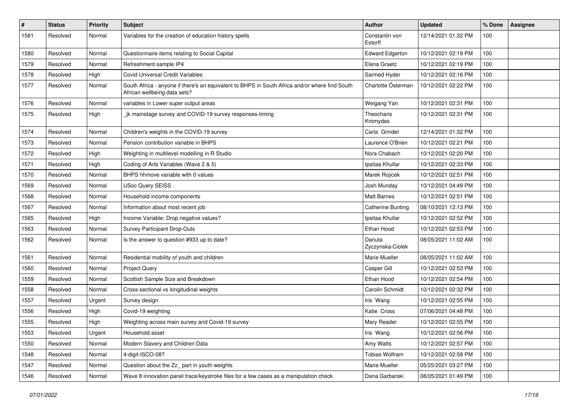| $\pmb{\#}$ | <b>Status</b> | <b>Priority</b> | <b>Subject</b>                                                                                                                 | Author                     | <b>Updated</b>      | % Done | Assignee |
|------------|---------------|-----------------|--------------------------------------------------------------------------------------------------------------------------------|----------------------------|---------------------|--------|----------|
| 1581       | Resolved      | Normal          | Variables for the creation of education history spells                                                                         | Constantin von<br>Estorff  | 12/14/2021 01:32 PM | 100    |          |
| 1580       | Resolved      | Normal          | Questionnaire items relating to Social Capital                                                                                 | <b>Edward Edgerton</b>     | 10/12/2021 02:19 PM | 100    |          |
| 1579       | Resolved      | Normal          | Refreshment sample IP4                                                                                                         | Elena Graetz               | 10/12/2021 02:19 PM | 100    |          |
| 1578       | Resolved      | High            | <b>Covid Universal Credit Variables</b>                                                                                        | Sarmed Hyder               | 10/12/2021 02:16 PM | 100    |          |
| 1577       | Resolved      | Normal          | South Africa - anyone if there's an equivalent to BHPS in South Africa and/or where find South<br>African wellbeing data sets? | Charlotte Österman         | 10/12/2021 02:22 PM | 100    |          |
| 1576       | Resolved      | Normal          | variables in Lower super output areas                                                                                          | Weigang Yan                | 10/12/2021 02:31 PM | 100    |          |
| 1575       | Resolved      | High            | jk mainstage survey and COVID-19 survey responses-timing                                                                       | Theocharis<br>Kromydas     | 10/12/2021 02:31 PM | 100    |          |
| 1574       | Resolved      | Normal          | Children's weights in the COVID-19 survey                                                                                      | Carla Grindel              | 12/14/2021 01:32 PM | 100    |          |
| 1573       | Resolved      | Normal          | Pension contribution variable in BHPS                                                                                          | Laurence O'Brien           | 10/12/2021 02:21 PM | 100    |          |
| 1572       | Resolved      | High            | Weighting in multilevel modelling in R Studio                                                                                  | Nora Chabach               | 10/12/2021 02:20 PM | 100    |          |
| 1571       | Resolved      | High            | Coding of Arts Variables (Wave 2 & 5)                                                                                          | Ipsitaa Khullar            | 10/12/2021 02:33 PM | 100    |          |
| 1570       | Resolved      | Normal          | BHPS hhmove variable with 0 values                                                                                             | Marek Rojicek              | 10/12/2021 02:51 PM | 100    |          |
| 1569       | Resolved      | Normal          | <b>USoc Query SEISS</b>                                                                                                        | Josh Munday                | 10/12/2021 04:49 PM | 100    |          |
| 1568       | Resolved      | Normal          | Household income components                                                                                                    | <b>Matt Barnes</b>         | 10/12/2021 02:51 PM | 100    |          |
| 1567       | Resolved      | Normal          | Information about most recent job                                                                                              | <b>Catherine Bunting</b>   | 08/10/2021 12:13 PM | 100    |          |
| 1565       | Resolved      | High            | Income Variable: Drop negative values?                                                                                         | Ipsitaa Khullar            | 10/12/2021 02:52 PM | 100    |          |
| 1563       | Resolved      | Normal          | Survey Participant Drop-Outs                                                                                                   | Ethan Hood                 | 10/12/2021 02:53 PM | 100    |          |
| 1562       | Resolved      | Normal          | Is the answer to question #933 up to date?                                                                                     | Danuta<br>Zyczynska-Ciolek | 08/05/2021 11:02 AM | 100    |          |
| 1561       | Resolved      | Normal          | Residential mobility of youth and children                                                                                     | Marie Mueller              | 08/05/2021 11:02 AM | 100    |          |
| 1560       | Resolved      | Normal          | <b>Project Query</b>                                                                                                           | Casper Gill                | 10/12/2021 02:53 PM | 100    |          |
| 1559       | Resolved      | Normal          | Scottish Sample Size and Breakdown                                                                                             | Ethan Hood                 | 10/12/2021 02:54 PM | 100    |          |
| 1558       | Resolved      | Normal          | Cross-sectional vs longitudinal weights                                                                                        | Carolin Schmidt            | 10/12/2021 02:32 PM | 100    |          |
| 1557       | Resolved      | Urgent          | Survey design                                                                                                                  | Iris Wang                  | 10/12/2021 02:55 PM | 100    |          |
| 1556       | Resolved      | High            | Covid-19 weighting                                                                                                             | Katie Cross                | 07/06/2021 04:48 PM | 100    |          |
| 1555       | Resolved      | High            | Weighting across main survey and Covid-19 survey                                                                               | Mary Reader                | 10/12/2021 02:55 PM | 100    |          |
| 1553       | Resolved      | Urgent          | Household asset                                                                                                                | Iris Wang                  | 10/12/2021 02:56 PM | 100    |          |
| 1550       | Resolved      | Normal          | Modern Slavery and Children Data                                                                                               | Amy Watts                  | 10/12/2021 02:57 PM | 100    |          |
| 1548       | Resolved      | Normal          | 4-digit-ISCO-08?                                                                                                               | Tobias Wolfram             | 10/12/2021 02:58 PM | 100    |          |
| 1547       | Resolved      | Normal          | Question about the Zz_ part in youth weights                                                                                   | Marie Mueller              | 05/25/2021 03:27 PM | 100    |          |
| 1546       | Resolved      | Normal          | Wave 8 innovation panel trace/keystroke files for a few cases as a manipulation check                                          | Dana Garbarski             | 08/05/2021 01:49 PM | 100    |          |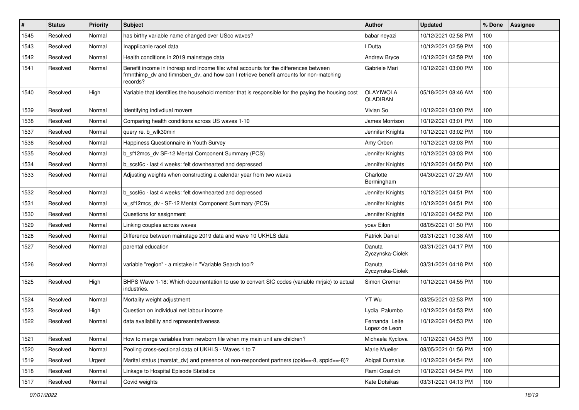| $\#$ | <b>Status</b> | <b>Priority</b> | <b>Subject</b>                                                                                                                                                                            | Author                              | <b>Updated</b>      | % Done | Assignee |
|------|---------------|-----------------|-------------------------------------------------------------------------------------------------------------------------------------------------------------------------------------------|-------------------------------------|---------------------|--------|----------|
| 1545 | Resolved      | Normal          | has birthy variable name changed over USoc waves?                                                                                                                                         | babar neyazi                        | 10/12/2021 02:58 PM | 100    |          |
| 1543 | Resolved      | Normal          | Inapplicanle racel data                                                                                                                                                                   | I Dutta                             | 10/12/2021 02:59 PM | 100    |          |
| 1542 | Resolved      | Normal          | Health conditions in 2019 mainstage data                                                                                                                                                  | Andrew Bryce                        | 10/12/2021 02:59 PM | 100    |          |
| 1541 | Resolved      | Normal          | Benefit income in indresp and income file: what accounts for the differences between<br>frmnthimp_dv and fimnsben_dv, and how can I retrieve benefit amounts for non-matching<br>records? | Gabriele Mari                       | 10/12/2021 03:00 PM | 100    |          |
| 1540 | Resolved      | High            | Variable that identifies the household member that is responsible for the paying the housing cost                                                                                         | <b>OLAYIWOLA</b><br><b>OLADIRAN</b> | 05/18/2021 08:46 AM | 100    |          |
| 1539 | Resolved      | Normal          | Identifying indivdiual movers                                                                                                                                                             | Vivian So                           | 10/12/2021 03:00 PM | 100    |          |
| 1538 | Resolved      | Normal          | Comparing health conditions across US waves 1-10                                                                                                                                          | James Morrison                      | 10/12/2021 03:01 PM | 100    |          |
| 1537 | Resolved      | Normal          | query re. b_wlk30min                                                                                                                                                                      | Jennifer Knights                    | 10/12/2021 03:02 PM | 100    |          |
| 1536 | Resolved      | Normal          | Happiness Questionnaire in Youth Survey                                                                                                                                                   | Amy Orben                           | 10/12/2021 03:03 PM | 100    |          |
| 1535 | Resolved      | Normal          | b sf12mcs dv SF-12 Mental Component Summary (PCS)                                                                                                                                         | Jennifer Knights                    | 10/12/2021 03:03 PM | 100    |          |
| 1534 | Resolved      | Normal          | b scsf6c - last 4 weeks: felt downhearted and depressed                                                                                                                                   | Jennifer Knights                    | 10/12/2021 04:50 PM | 100    |          |
| 1533 | Resolved      | Normal          | Adjusting weights when constructing a calendar year from two waves                                                                                                                        | Charlotte<br>Bermingham             | 04/30/2021 07:29 AM | 100    |          |
| 1532 | Resolved      | Normal          | b_scsf6c - last 4 weeks: felt downhearted and depressed                                                                                                                                   | Jennifer Knights                    | 10/12/2021 04:51 PM | 100    |          |
| 1531 | Resolved      | Normal          | w_sf12mcs_dv - SF-12 Mental Component Summary (PCS)                                                                                                                                       | Jennifer Knights                    | 10/12/2021 04:51 PM | 100    |          |
| 1530 | Resolved      | Normal          | Questions for assignment                                                                                                                                                                  | Jennifer Knights                    | 10/12/2021 04:52 PM | 100    |          |
| 1529 | Resolved      | Normal          | Linking couples across waves                                                                                                                                                              | yoav Eilon                          | 08/05/2021 01:50 PM | 100    |          |
| 1528 | Resolved      | Normal          | Difference between mainstage 2019 data and wave 10 UKHLS data                                                                                                                             | <b>Patrick Daniel</b>               | 03/31/2021 10:38 AM | 100    |          |
| 1527 | Resolved      | Normal          | parental education                                                                                                                                                                        | Danuta<br>Zyczynska-Ciolek          | 03/31/2021 04:17 PM | 100    |          |
| 1526 | Resolved      | Normal          | variable "region" - a mistake in "Variable Search tool?                                                                                                                                   | Danuta<br>Zyczynska-Ciolek          | 03/31/2021 04:18 PM | 100    |          |
| 1525 | Resolved      | High            | BHPS Wave 1-18: Which documentation to use to convert SIC codes (variable mrisic) to actual<br>industries.                                                                                | Simon Cremer                        | 10/12/2021 04:55 PM | 100    |          |
| 1524 | Resolved      | Normal          | Mortality weight adjustment                                                                                                                                                               | YT Wu                               | 03/25/2021 02:53 PM | 100    |          |
| 1523 | Resolved      | High            | Question on individual net labour income                                                                                                                                                  | Lydia Palumbo                       | 10/12/2021 04:53 PM | 100    |          |
| 1522 | Resolved      | Normal          | data availability and representativeness                                                                                                                                                  | Fernanda Leite<br>Lopez de Leon     | 10/12/2021 04:53 PM | 100    |          |
| 1521 | Resolved      | Normal          | How to merge variables from newborn file when my main unit are children?                                                                                                                  | Michaela Kyclova                    | 10/12/2021 04:53 PM | 100    |          |
| 1520 | Resolved      | Normal          | Pooling cross-sectional data of UKHLS - Waves 1 to 7                                                                                                                                      | Marie Mueller                       | 08/05/2021 01:56 PM | 100    |          |
| 1519 | Resolved      | Urgent          | Marital status (marstat dv) and presence of non-respondent partners (ppid==-8, sppid==-8)?                                                                                                | Abigail Dumalus                     | 10/12/2021 04:54 PM | 100    |          |
| 1518 | Resolved      | Normal          | Linkage to Hospital Episode Statistics                                                                                                                                                    | Rami Cosulich                       | 10/12/2021 04:54 PM | 100    |          |
| 1517 | Resolved      | Normal          | Covid weights                                                                                                                                                                             | Kate Dotsikas                       | 03/31/2021 04:13 PM | 100    |          |